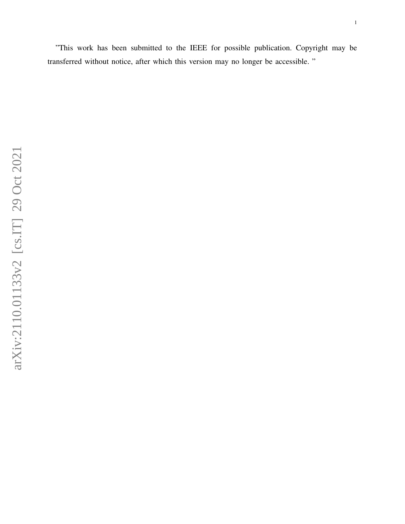"This work has been submitted to the IEEE for possible publication. Copyright may be transferred without notice, after which this version may no longer be accessible. "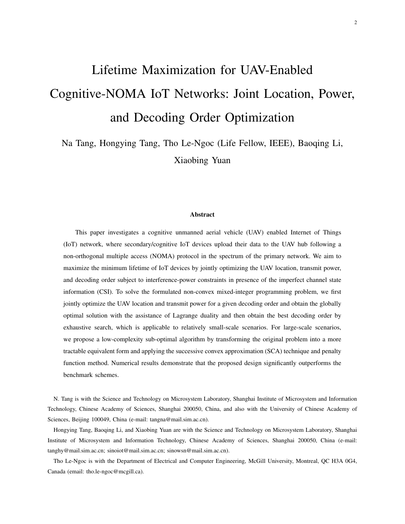# Lifetime Maximization for UAV-Enabled Cognitive-NOMA IoT Networks: Joint Location, Power, and Decoding Order Optimization

Na Tang, Hongying Tang, Tho Le-Ngoc (Life Fellow, IEEE), Baoqing Li, Xiaobing Yuan

#### Abstract

This paper investigates a cognitive unmanned aerial vehicle (UAV) enabled Internet of Things (IoT) network, where secondary/cognitive IoT devices upload their data to the UAV hub following a non-orthogonal multiple access (NOMA) protocol in the spectrum of the primary network. We aim to maximize the minimum lifetime of IoT devices by jointly optimizing the UAV location, transmit power, and decoding order subject to interference-power constraints in presence of the imperfect channel state information (CSI). To solve the formulated non-convex mixed-integer programming problem, we first jointly optimize the UAV location and transmit power for a given decoding order and obtain the globally optimal solution with the assistance of Lagrange duality and then obtain the best decoding order by exhaustive search, which is applicable to relatively small-scale scenarios. For large-scale scenarios, we propose a low-complexity sub-optimal algorithm by transforming the original problem into a more tractable equivalent form and applying the successive convex approximation (SCA) technique and penalty function method. Numerical results demonstrate that the proposed design significantly outperforms the benchmark schemes.

N. Tang is with the Science and Technology on Microsystem Laboratory, Shanghai Institute of Microsystem and Information Technology, Chinese Academy of Sciences, Shanghai 200050, China, and also with the University of Chinese Academy of Sciences, Beijing 100049, China (e-mail: tangna@mail.sim.ac.cn).

Hongying Tang, Baoqing Li, and Xiaobing Yuan are with the Science and Technology on Microsystem Laboratory, Shanghai Institute of Microsystem and Information Technology, Chinese Academy of Sciences, Shanghai 200050, China (e-mail: tanghy@mail.sim.ac.cn; sinoiot@mail.sim.ac.cn; sinowsn@mail.sim.ac.cn).

Tho Le-Ngoc is with the Department of Electrical and Computer Engineering, McGill University, Montreal, QC H3A 0G4, Canada (email: tho.le-ngoc@mcgill.ca).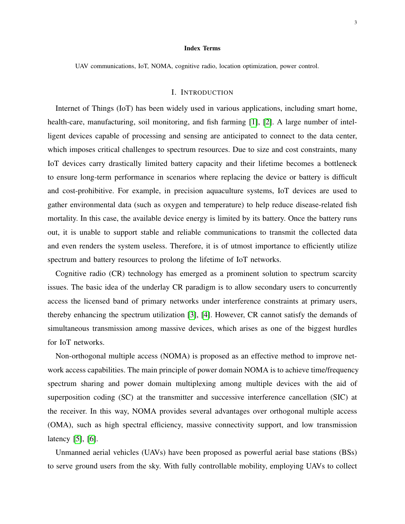#### Index Terms

UAV communications, IoT, NOMA, cognitive radio, location optimization, power control.

# I. INTRODUCTION

Internet of Things (IoT) has been widely used in various applications, including smart home, health-care, manufacturing, soil monitoring, and fish farming [\[1\]](#page-30-0), [\[2\]](#page-30-1). A large number of intelligent devices capable of processing and sensing are anticipated to connect to the data center, which imposes critical challenges to spectrum resources. Due to size and cost constraints, many IoT devices carry drastically limited battery capacity and their lifetime becomes a bottleneck to ensure long-term performance in scenarios where replacing the device or battery is difficult and cost-prohibitive. For example, in precision aquaculture systems, IoT devices are used to gather environmental data (such as oxygen and temperature) to help reduce disease-related fish mortality. In this case, the available device energy is limited by its battery. Once the battery runs out, it is unable to support stable and reliable communications to transmit the collected data and even renders the system useless. Therefore, it is of utmost importance to efficiently utilize spectrum and battery resources to prolong the lifetime of IoT networks.

Cognitive radio (CR) technology has emerged as a prominent solution to spectrum scarcity issues. The basic idea of the underlay CR paradigm is to allow secondary users to concurrently access the licensed band of primary networks under interference constraints at primary users, thereby enhancing the spectrum utilization [\[3\]](#page-30-2), [\[4\]](#page-30-3). However, CR cannot satisfy the demands of simultaneous transmission among massive devices, which arises as one of the biggest hurdles for IoT networks.

Non-orthogonal multiple access (NOMA) is proposed as an effective method to improve network access capabilities. The main principle of power domain NOMA is to achieve time/frequency spectrum sharing and power domain multiplexing among multiple devices with the aid of superposition coding (SC) at the transmitter and successive interference cancellation (SIC) at the receiver. In this way, NOMA provides several advantages over orthogonal multiple access (OMA), such as high spectral efficiency, massive connectivity support, and low transmission latency [\[5\]](#page-30-4), [\[6\]](#page-30-5).

Unmanned aerial vehicles (UAVs) have been proposed as powerful aerial base stations (BSs) to serve ground users from the sky. With fully controllable mobility, employing UAVs to collect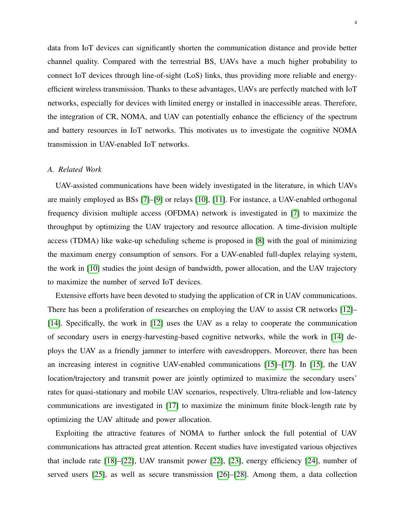data from IoT devices can significantly shorten the communication distance and provide better channel quality. Compared with the terrestrial BS, UAVs have a much higher probability to connect IoT devices through line-of-sight (LoS) links, thus providing more reliable and energyefficient wireless transmission. Thanks to these advantages, UAVs are perfectly matched with IoT networks, especially for devices with limited energy or installed in inaccessible areas. Therefore, the integration of CR, NOMA, and UAV can potentially enhance the efficiency of the spectrum and battery resources in IoT networks. This motivates us to investigate the cognitive NOMA transmission in UAV-enabled IoT networks.

#### *A. Related Work*

UAV-assisted communications have been widely investigated in the literature, in which UAVs are mainly employed as BSs [\[7\]](#page-30-6)–[\[9\]](#page-30-7) or relays [\[10\]](#page-30-8), [\[11\]](#page-30-9). For instance, a UAV-enabled orthogonal frequency division multiple access (OFDMA) network is investigated in [\[7\]](#page-30-6) to maximize the throughput by optimizing the UAV trajectory and resource allocation. A time-division multiple access (TDMA) like wake-up scheduling scheme is proposed in [\[8\]](#page-30-10) with the goal of minimizing the maximum energy consumption of sensors. For a UAV-enabled full-duplex relaying system, the work in [\[10\]](#page-30-8) studies the joint design of bandwidth, power allocation, and the UAV trajectory to maximize the number of served IoT devices.

Extensive efforts have been devoted to studying the application of CR in UAV communications. There has been a proliferation of researches on employing the UAV to assist CR networks [\[12\]](#page-30-11)– [\[14\]](#page-30-12). Specifically, the work in [\[12\]](#page-30-11) uses the UAV as a relay to cooperate the communication of secondary users in energy-harvesting-based cognitive networks, while the work in [\[14\]](#page-30-12) deploys the UAV as a friendly jammer to interfere with eavesdroppers. Moreover, there has been an increasing interest in cognitive UAV-enabled communications [\[15\]](#page-30-13)–[\[17\]](#page-30-14). In [\[15\]](#page-30-13), the UAV location/trajectory and transmit power are jointly optimized to maximize the secondary users' rates for quasi-stationary and mobile UAV scenarios, respectively. Ultra-reliable and low-latency communications are investigated in [\[17\]](#page-30-14) to maximize the minimum finite block-length rate by optimizing the UAV altitude and power allocation.

Exploiting the attractive features of NOMA to further unlock the full potential of UAV communications has attracted great attention. Recent studies have investigated various objectives that include rate [\[18\]](#page-31-0)–[\[22\]](#page-31-1), UAV transmit power [\[22\]](#page-31-1), [\[23\]](#page-31-2), energy efficiency [\[24\]](#page-31-3), number of served users [\[25\]](#page-31-4), as well as secure transmission [\[26\]](#page-31-5)–[\[28\]](#page-31-6). Among them, a data collection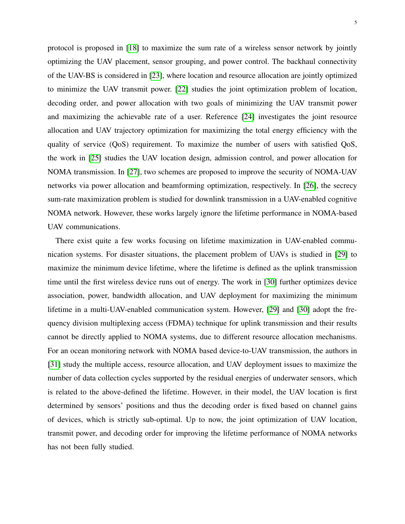protocol is proposed in [\[18\]](#page-31-0) to maximize the sum rate of a wireless sensor network by jointly optimizing the UAV placement, sensor grouping, and power control. The backhaul connectivity of the UAV-BS is considered in [\[23\]](#page-31-2), where location and resource allocation are jointly optimized to minimize the UAV transmit power. [\[22\]](#page-31-1) studies the joint optimization problem of location, decoding order, and power allocation with two goals of minimizing the UAV transmit power and maximizing the achievable rate of a user. Reference [\[24\]](#page-31-3) investigates the joint resource allocation and UAV trajectory optimization for maximizing the total energy efficiency with the quality of service (QoS) requirement. To maximize the number of users with satisfied QoS, the work in [\[25\]](#page-31-4) studies the UAV location design, admission control, and power allocation for NOMA transmission. In [\[27\]](#page-31-7), two schemes are proposed to improve the security of NOMA-UAV networks via power allocation and beamforming optimization, respectively. In [\[26\]](#page-31-5), the secrecy sum-rate maximization problem is studied for downlink transmission in a UAV-enabled cognitive NOMA network. However, these works largely ignore the lifetime performance in NOMA-based UAV communications.

There exist quite a few works focusing on lifetime maximization in UAV-enabled communication systems. For disaster situations, the placement problem of UAVs is studied in [\[29\]](#page-31-8) to maximize the minimum device lifetime, where the lifetime is defined as the uplink transmission time until the first wireless device runs out of energy. The work in [\[30\]](#page-31-9) further optimizes device association, power, bandwidth allocation, and UAV deployment for maximizing the minimum lifetime in a multi-UAV-enabled communication system. However, [\[29\]](#page-31-8) and [\[30\]](#page-31-9) adopt the frequency division multiplexing access (FDMA) technique for uplink transmission and their results cannot be directly applied to NOMA systems, due to different resource allocation mechanisms. For an ocean monitoring network with NOMA based device-to-UAV transmission, the authors in [\[31\]](#page-31-10) study the multiple access, resource allocation, and UAV deployment issues to maximize the number of data collection cycles supported by the residual energies of underwater sensors, which is related to the above-defined the lifetime. However, in their model, the UAV location is first determined by sensors' positions and thus the decoding order is fixed based on channel gains of devices, which is strictly sub-optimal. Up to now, the joint optimization of UAV location, transmit power, and decoding order for improving the lifetime performance of NOMA networks has not been fully studied.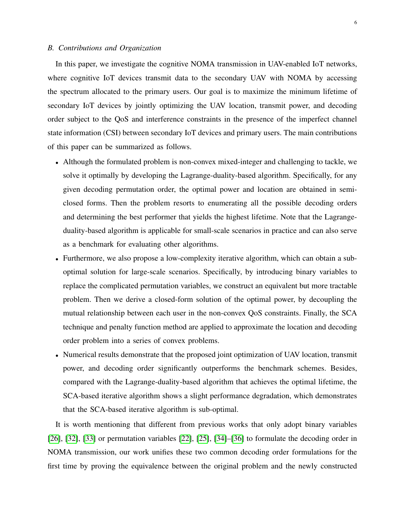# *B. Contributions and Organization*

In this paper, we investigate the cognitive NOMA transmission in UAV-enabled IoT networks, where cognitive IoT devices transmit data to the secondary UAV with NOMA by accessing the spectrum allocated to the primary users. Our goal is to maximize the minimum lifetime of secondary IoT devices by jointly optimizing the UAV location, transmit power, and decoding order subject to the QoS and interference constraints in the presence of the imperfect channel state information (CSI) between secondary IoT devices and primary users. The main contributions of this paper can be summarized as follows.

- Although the formulated problem is non-convex mixed-integer and challenging to tackle, we solve it optimally by developing the Lagrange-duality-based algorithm. Specifically, for any given decoding permutation order, the optimal power and location are obtained in semiclosed forms. Then the problem resorts to enumerating all the possible decoding orders and determining the best performer that yields the highest lifetime. Note that the Lagrangeduality-based algorithm is applicable for small-scale scenarios in practice and can also serve as a benchmark for evaluating other algorithms.
- Furthermore, we also propose a low-complexity iterative algorithm, which can obtain a suboptimal solution for large-scale scenarios. Specifically, by introducing binary variables to replace the complicated permutation variables, we construct an equivalent but more tractable problem. Then we derive a closed-form solution of the optimal power, by decoupling the mutual relationship between each user in the non-convex QoS constraints. Finally, the SCA technique and penalty function method are applied to approximate the location and decoding order problem into a series of convex problems.
- Numerical results demonstrate that the proposed joint optimization of UAV location, transmit power, and decoding order significantly outperforms the benchmark schemes. Besides, compared with the Lagrange-duality-based algorithm that achieves the optimal lifetime, the SCA-based iterative algorithm shows a slight performance degradation, which demonstrates that the SCA-based iterative algorithm is sub-optimal.

It is worth mentioning that different from previous works that only adopt binary variables [\[26\]](#page-31-5), [\[32\]](#page-31-11), [\[33\]](#page-31-12) or permutation variables [\[22\]](#page-31-1), [\[25\]](#page-31-4), [\[34\]](#page-31-13)–[\[36\]](#page-31-14) to formulate the decoding order in NOMA transmission, our work unifies these two common decoding order formulations for the first time by proving the equivalence between the original problem and the newly constructed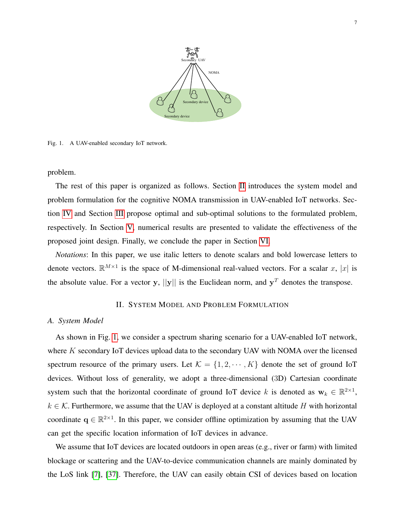

<span id="page-6-1"></span>Fig. 1. A UAV-enabled secondary IoT network.

# problem.

The rest of this paper is organized as follows. Section [II](#page-6-0) introduces the system model and problem formulation for the cognitive NOMA transmission in UAV-enabled IoT networks. Section [IV](#page-13-0) and Section [III](#page-9-0) propose optimal and sub-optimal solutions to the formulated problem, respectively. In Section [V,](#page-19-0) numerical results are presented to validate the effectiveness of the proposed joint design. Finally, we conclude the paper in Section [VI.](#page-23-0)

*Notations*: In this paper, we use italic letters to denote scalars and bold lowercase letters to denote vectors.  $\mathbb{R}^{M\times 1}$  is the space of M-dimensional real-valued vectors. For a scalar x, |x| is the absolute value. For a vector y,  $||y||$  is the Euclidean norm, and  $y<sup>T</sup>$  denotes the transpose.

# II. SYSTEM MODEL AND PROBLEM FORMULATION

## <span id="page-6-0"></span>*A. System Model*

As shown in Fig. [1,](#page-6-1) we consider a spectrum sharing scenario for a UAV-enabled IoT network, where K secondary IoT devices upload data to the secondary UAV with NOMA over the licensed spectrum resource of the primary users. Let  $\mathcal{K} = \{1, 2, \cdots, K\}$  denote the set of ground IoT devices. Without loss of generality, we adopt a three-dimensional (3D) Cartesian coordinate system such that the horizontal coordinate of ground IoT device k is denoted as  $w_k \in \mathbb{R}^{2 \times 1}$ ,  $k \in \mathcal{K}$ . Furthermore, we assume that the UAV is deployed at a constant altitude H with horizontal coordinate  $q \in \mathbb{R}^{2\times 1}$ . In this paper, we consider offline optimization by assuming that the UAV can get the specific location information of IoT devices in advance.

We assume that IoT devices are located outdoors in open areas (e.g., river or farm) with limited blockage or scattering and the UAV-to-device communication channels are mainly dominated by the LoS link [\[7\]](#page-30-6), [\[37\]](#page-31-15). Therefore, the UAV can easily obtain CSI of devices based on location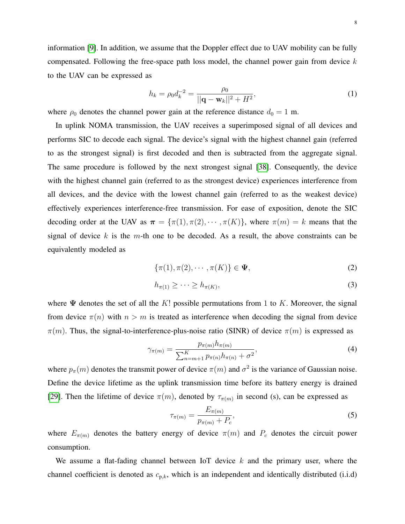information [\[9\]](#page-30-7). In addition, we assume that the Doppler effect due to UAV mobility can be fully compensated. Following the free-space path loss model, the channel power gain from device  $k$ to the UAV can be expressed as

<span id="page-7-2"></span>
$$
h_k = \rho_0 d_k^{-2} = \frac{\rho_0}{||\mathbf{q} - \mathbf{w}_k||^2 + H^2},\tag{1}
$$

where  $\rho_0$  denotes the channel power gain at the reference distance  $d_0 = 1$  m.

In uplink NOMA transmission, the UAV receives a superimposed signal of all devices and performs SIC to decode each signal. The device's signal with the highest channel gain (referred to as the strongest signal) is first decoded and then is subtracted from the aggregate signal. The same procedure is followed by the next strongest signal [\[38\]](#page-31-16). Consequently, the device with the highest channel gain (referred to as the strongest device) experiences interference from all devices, and the device with the lowest channel gain (referred to as the weakest device) effectively experiences interference-free transmission. For ease of exposition, denote the SIC decoding order at the UAV as  $\pi = {\pi(1), \pi(2), \cdots, \pi(K)}$ , where  $\pi(m) = k$  means that the signal of device k is the m-th one to be decoded. As a result, the above constraints can be equivalently modeled as

<span id="page-7-1"></span><span id="page-7-0"></span>
$$
\{\pi(1), \pi(2), \cdots, \pi(K)\} \in \Psi,\tag{2}
$$

$$
h_{\pi(1)} \geq \cdots \geq h_{\pi(K)},\tag{3}
$$

where  $\Psi$  denotes the set of all the K! possible permutations from 1 to K. Moreover, the signal from device  $\pi(n)$  with  $n > m$  is treated as interference when decoding the signal from device  $\pi(m)$ . Thus, the signal-to-interference-plus-noise ratio (SINR) of device  $\pi(m)$  is expressed as

$$
\gamma_{\pi(m)} = \frac{p_{\pi(m)} h_{\pi(m)}}{\sum_{n=m+1}^{K} p_{\pi(n)} h_{\pi(n)} + \sigma^2},\tag{4}
$$

where  $p_{\pi}(m)$  denotes the transmit power of device  $\pi(m)$  and  $\sigma^2$  is the variance of Gaussian noise. Define the device lifetime as the uplink transmission time before its battery energy is drained [\[29\]](#page-31-8). Then the lifetime of device  $\pi(m)$ , denoted by  $\tau_{\pi(m)}$  in second (s), can be expressed as

$$
\tau_{\pi(m)} = \frac{E_{\pi(m)}}{p_{\pi(m)} + P_c},\tag{5}
$$

where  $E_{\pi(m)}$  denotes the battery energy of device  $\pi(m)$  and  $P_c$  denotes the circuit power consumption.

We assume a flat-fading channel between IoT device  $k$  and the primary user, where the channel coefficient is denoted as  $c_{p,k}$ , which is an independent and identically distributed (i.i.d)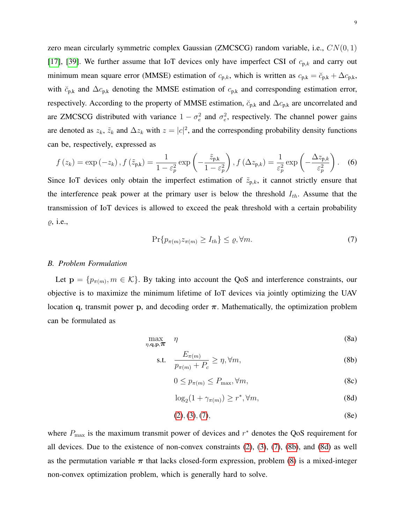zero mean circularly symmetric complex Gaussian (ZMCSCG) random variable, i.e.,  $CN(0, 1)$ [\[17\]](#page-30-14), [\[39\]](#page-32-0). We further assume that IoT devices only have imperfect CSI of  $c_{p,k}$  and carry out minimum mean square error (MMSE) estimation of  $c_{p,k}$ , which is written as  $c_{p,k} = \breve{c}_{p,k} + \Delta c_{p,k}$ , with  $\check{c}_{p,k}$  and  $\Delta c_{p,k}$  denoting the MMSE estimation of  $c_{p,k}$  and corresponding estimation error, respectively. According to the property of MMSE estimation,  $\breve{c}_{p,k}$  and  $\Delta c_{p,k}$  are uncorrelated and are ZMCSCG distributed with variance  $1 - \sigma_e^2$  and  $\sigma_e^2$ , respectively. The channel power gains are denoted as  $z_k$ ,  $\tilde{z}_k$  and  $\Delta z_k$  with  $z = |c|^2$ , and the corresponding probability density functions can be, respectively, expressed as

$$
f(z_k) = \exp(-z_k), f(\tilde{z}_{p,k}) = \frac{1}{1 - \varepsilon_p^2} \exp\left(-\frac{\tilde{z}_{p,k}}{1 - \varepsilon_p^2}\right), f(\Delta z_{p,k}) = \frac{1}{\varepsilon_p^2} \exp\left(-\frac{\Delta z_{p,k}}{\varepsilon_p^2}\right). \tag{6}
$$

Since IoT devices only obtain the imperfect estimation of  $\tilde{z}_{p,k}$ , it cannot strictly ensure that the interference peak power at the primary user is below the threshold  $I_{th}$ . Assume that the transmission of IoT devices is allowed to exceed the peak threshold with a certain probability  $\rho$ , i.e.,

<span id="page-8-0"></span>
$$
\Pr\{p_{\pi(m)}z_{\pi(m)} \ge I_{th}\} \le \varrho, \forall m. \tag{7}
$$

#### <span id="page-8-4"></span>*B. Problem Formulation*

Let  $\mathbf{p} = \{p_{\pi(m)}, m \in \mathcal{K}\}\$ . By taking into account the QoS and interference constraints, our objective is to maximize the minimum lifetime of IoT devices via jointly optimizing the UAV location q, transmit power p, and decoding order  $\pi$ . Mathematically, the optimization problem can be formulated as

<span id="page-8-3"></span>
$$
\max_{\eta, \mathbf{q}, \mathbf{p}, \mathbf{T}} \quad \eta \tag{8a}
$$

$$
\text{s.t.} \quad \frac{E_{\pi(m)}}{p_{\pi(m)} + P_c} \ge \eta, \forall m,\tag{8b}
$$

<span id="page-8-2"></span><span id="page-8-1"></span>
$$
0 \le p_{\pi(m)} \le P_{\max}, \forall m,\tag{8c}
$$

$$
\log_2(1 + \gamma_{\pi(m)}) \ge r^*, \forall m,\tag{8d}
$$

$$
(2), (3), (7), \tag{8e}
$$

where  $P_{\text{max}}$  is the maximum transmit power of devices and  $r^*$  denotes the QoS requirement for all devices. Due to the existence of non-convex constraints [\(2\)](#page-7-0), [\(3\)](#page-7-1), [\(7\)](#page-8-0), [\(8b\)](#page-8-1), and [\(8d\)](#page-8-2) as well as the permutation variable  $\pi$  that lacks closed-form expression, problem [\(8\)](#page-8-3) is a mixed-integer non-convex optimization problem, which is generally hard to solve.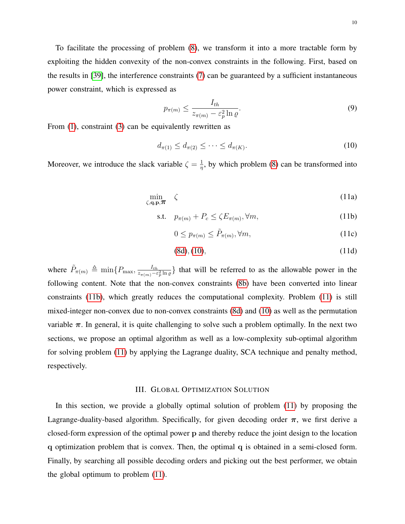To facilitate the processing of problem [\(8\)](#page-8-3), we transform it into a more tractable form by exploiting the hidden convexity of the non-convex constraints in the following. First, based on the results in [\[39\]](#page-32-0), the interference constraints [\(7\)](#page-8-0) can be guaranteed by a sufficient instantaneous power constraint, which is expressed as

<span id="page-9-1"></span>
$$
p_{\pi(m)} \le \frac{I_{th}}{z_{\pi(m)} - \varepsilon_p^2 \ln \varrho}.
$$
\n(9)

From [\(1\)](#page-7-2), constraint [\(3\)](#page-7-1) can be equivalently rewritten as

$$
d_{\pi(1)} \le d_{\pi(2)} \le \cdots \le d_{\pi(K)}.\tag{10}
$$

<span id="page-9-3"></span>Moreover, we introduce the slack variable  $\zeta = \frac{1}{n}$  $\frac{1}{\eta}$ , by which problem [\(8\)](#page-8-3) can be transformed into

$$
\min_{\zeta, \mathbf{q}, \mathbf{p}, \pi} \quad \zeta \tag{11a}
$$

$$
\text{s.t.} \quad p_{\pi(m)} + P_c \le \zeta E_{\pi(m)}, \forall m,
$$
\n<sup>(11b)</sup>

<span id="page-9-4"></span><span id="page-9-2"></span>
$$
0 \le p_{\pi(m)} \le \tilde{P}_{\pi(m)}, \forall m,
$$
\n(11c)

$$
(8d), (10), \t(11d)
$$

where  $\tilde{P}_{\pi(m)} \triangleq \min\{P_{\text{max}}, \frac{I_{th}}{z_{\pi(m)}-\epsilon} \}$  $\frac{I_{th}}{z_{\pi(m)}-\varepsilon_p^2 \ln \varrho}$  that will be referred to as the allowable power in the following content. Note that the non-convex constraints [\(8b\)](#page-8-1) have been converted into linear constraints [\(11b\)](#page-9-2), which greatly reduces the computational complexity. Problem [\(11\)](#page-9-3) is still mixed-integer non-convex due to non-convex constraints [\(8d\)](#page-8-2) and [\(10\)](#page-9-1) as well as the permutation variable  $\pi$ . In general, it is quite challenging to solve such a problem optimally. In the next two sections, we propose an optimal algorithm as well as a low-complexity sub-optimal algorithm for solving problem [\(11\)](#page-9-3) by applying the Lagrange duality, SCA technique and penalty method, respectively.

#### III. GLOBAL OPTIMIZATION SOLUTION

<span id="page-9-0"></span>In this section, we provide a globally optimal solution of problem [\(11\)](#page-9-3) by proposing the Lagrange-duality-based algorithm. Specifically, for given decoding order  $\pi$ , we first derive a closed-form expression of the optimal power p and thereby reduce the joint design to the location q optimization problem that is convex. Then, the optimal q is obtained in a semi-closed form. Finally, by searching all possible decoding orders and picking out the best performer, we obtain the global optimum to problem [\(11\)](#page-9-3).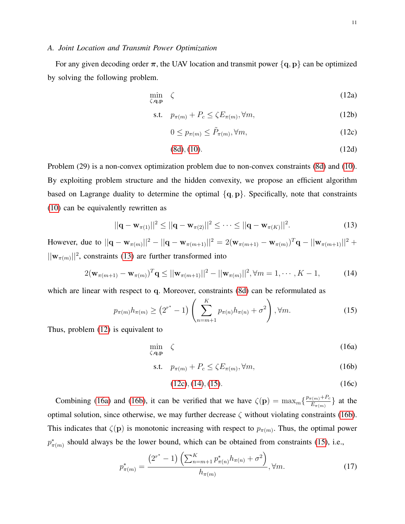#### *A. Joint Location and Transmit Power Optimization*

For any given decoding order  $\pi$ , the UAV location and transmit power  $\{q, p\}$  can be optimized by solving the following problem.

<span id="page-10-1"></span>
$$
\min_{\zeta, \mathbf{q}, \mathbf{p}} \zeta \tag{12a}
$$

$$
\text{s.t.} \quad p_{\pi(m)} + P_c \le \zeta E_{\pi(m)}, \forall m,
$$
\n<sup>(12b)</sup>

<span id="page-10-2"></span>
$$
0 \le p_{\pi(m)} \le \tilde{P}_{\pi(m)}, \forall m,\tag{12c}
$$

<span id="page-10-3"></span><span id="page-10-0"></span>
$$
(8d), (10). \t(12d)
$$

Problem (29) is a non-convex optimization problem due to non-convex constraints [\(8d\)](#page-8-2) and [\(10\)](#page-9-1). By exploiting problem structure and the hidden convexity, we propose an efficient algorithm based on Lagrange duality to determine the optimal  $\{q, p\}$ . Specifically, note that constraints [\(10\)](#page-9-1) can be equivalently rewritten as

$$
||\mathbf{q} - \mathbf{w}_{\pi(1)}||^2 \le ||\mathbf{q} - \mathbf{w}_{\pi(2)}||^2 \le \dots \le ||\mathbf{q} - \mathbf{w}_{\pi(K)}||^2.
$$
 (13)

However, due to  $||\mathbf{q} - \mathbf{w}_{\pi(m)}||^2 - ||\mathbf{q} - \mathbf{w}_{\pi(m+1)}||^2 = 2(\mathbf{w}_{\pi(m+1)} - \mathbf{w}_{\pi(m)})^T \mathbf{q} - ||\mathbf{w}_{\pi(m+1)}||^2 +$  $||\mathbf{w}_{\pi(m)}||^2$ , constraints [\(13\)](#page-10-0) are further transformed into

$$
2(\mathbf{w}_{\pi(m+1)} - \mathbf{w}_{\pi(m)})^T \mathbf{q} \le ||\mathbf{w}_{\pi(m+1)}||^2 - ||\mathbf{w}_{\pi(m)}||^2, \forall m = 1, \cdots, K-1,
$$
 (14)

which are linear with respect to q. Moreover, constraints [\(8d\)](#page-8-2) can be reformulated as

$$
p_{\pi(m)}h_{\pi(m)} \ge (2^{r^*} - 1) \left(\sum_{n=m+1}^{K} p_{\pi(n)}h_{\pi(n)} + \sigma^2\right), \forall m.
$$
 (15)

Thus, problem [\(12\)](#page-10-1) is equivalent to

<span id="page-10-8"></span>
$$
\min_{\zeta, \mathbf{q}, \mathbf{p}} \zeta \tag{16a}
$$

$$
\text{s.t.} \quad p_{\pi(m)} + P_c \le \zeta E_{\pi(m)}, \forall m,
$$
\n<sup>(16b)</sup>

<span id="page-10-7"></span><span id="page-10-6"></span><span id="page-10-5"></span><span id="page-10-4"></span>
$$
(12c), (14), (15). \t(16c)
$$

Combining [\(16a\)](#page-10-5) and [\(16b\)](#page-10-6), it can be verified that we have  $\zeta(\mathbf{p}) = \max_{m} \left\{ \frac{p_{\pi(m)} + P_c}{E_{\pi(m)}} \right\}$  $\frac{\Gamma(m)^+ \Gamma_c}{E_{\pi(m)}}$  at the optimal solution, since otherwise, we may further decrease  $\zeta$  without violating constraints [\(16b\)](#page-10-6). This indicates that  $\zeta(\mathbf{p})$  is monotonic increasing with respect to  $p_{\pi(m)}$ . Thus, the optimal power  $p^*_{\pi(m)}$  should always be the lower bound, which can be obtained from constraints [\(15\)](#page-10-4), i.e.,

$$
p_{\pi(m)}^* = \frac{\left(2^{r^*} - 1\right) \left(\sum_{n=m+1}^K p_{\pi(n)}^* h_{\pi(n)} + \sigma^2\right)}{h_{\pi(m)}}, \forall m. \tag{17}
$$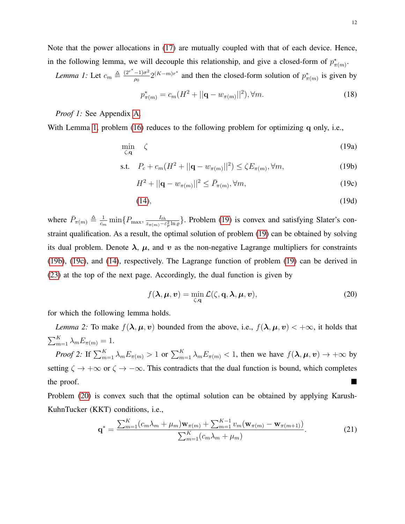Note that the power allocations in [\(17\)](#page-10-7) are mutually coupled with that of each device. Hence, in the following lemma, we will decouple this relationship, and give a closed-form of  $p^*_{\pi(m)}$ .

*Lemma 1:* Let  $c_m \triangleq \frac{(2^{r^*}-1)\sigma^2}{a_0}$  $\frac{(-1)\sigma^2}{\rho_0}$  2<sup>(K-m)r\*</sup> and then the closed-form solution of  $p^*_{\pi(m)}$  is given by

<span id="page-11-5"></span><span id="page-11-1"></span><span id="page-11-0"></span>
$$
p_{\pi(m)}^* = c_m(H^2 + ||\mathbf{q} - w_{\pi(m)}||^2), \forall m.
$$
 (18)

*Proof 1:* See Appendix [A.](#page-24-0)

With Lemma [1,](#page-11-0) problem [\(16\)](#page-10-8) reduces to the following problem for optimizing q only, i.e.,

$$
\min_{\zeta, \mathbf{q}} \quad \zeta \tag{19a}
$$

s.t. 
$$
P_c + c_m(H^2 + ||\mathbf{q} - w_{\pi(m)}||^2) \le \zeta E_{\pi(m)}, \forall m,
$$
 (19b)

<span id="page-11-3"></span><span id="page-11-2"></span>
$$
H^2 + ||\mathbf{q} - w_{\pi(m)}||^2 \le \bar{P}_{\pi(m)}, \forall m,
$$
\n(19c)

$$
(14), \t(19d)
$$

where  $\bar{P}_{\pi(m)} \triangleq \frac{1}{c_m}$  $\frac{1}{c_m}\min\{P_{\max},\frac{I_{th}}{z_{\pi(m)}-\varepsilon}$  $\frac{I_{th}}{z_{\pi(m)}-\varepsilon_p^2 \ln \varrho}$ . Problem [\(19\)](#page-11-1) is convex and satisfying Slater's constraint qualification. As a result, the optimal solution of problem [\(19\)](#page-11-1) can be obtained by solving its dual problem. Denote  $\lambda$ ,  $\mu$ , and v as the non-negative Lagrange multipliers for constraints [\(19b\)](#page-11-2), [\(19c\)](#page-11-3), and [\(14\)](#page-10-3), respectively. The Lagrange function of problem [\(19\)](#page-11-1) can be derived in [\(23\)](#page-12-0) at the top of the next page. Accordingly, the dual function is given by

<span id="page-11-6"></span><span id="page-11-4"></span>
$$
f(\lambda, \mu, v) = \min_{\zeta, \mathbf{q}} \mathcal{L}(\zeta, \mathbf{q}, \lambda, \mu, v),
$$
 (20)

for which the following lemma holds.

*Lemma 2:* To make  $f(\lambda, \mu, v)$  bounded from the above, i.e.,  $f(\lambda, \mu, v) < +\infty$ , it holds that  $\sum_{m=1}^K \lambda_m E_{\pi(m)} = 1.$ 

*Proof 2:* If  $\sum_{m=1}^{K} \lambda_m E_{\pi(m)} > 1$  or  $\sum_{m=1}^{K} \lambda_m E_{\pi(m)} < 1$ , then we have  $f(\lambda, \mu, v) \to +\infty$  by setting  $\zeta \to +\infty$  or  $\zeta \to -\infty$ . This contradicts that the dual function is bound, which completes the proof.

Problem [\(20\)](#page-11-4) is convex such that the optimal solution can be obtained by applying Karush-KuhnTucker (KKT) conditions, i.e.,

$$
\mathbf{q}^* = \frac{\sum_{m=1}^K (c_m \lambda_m + \mu_m) \mathbf{w}_{\pi(m)} + \sum_{m=1}^{K-1} v_m (\mathbf{w}_{\pi(m)} - \mathbf{w}_{\pi(m+1)})}{\sum_{m=1}^K (c_m \lambda_m + \mu_m)}.
$$
(21)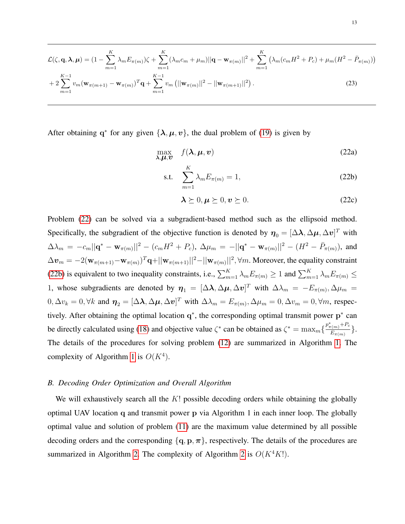$$
\mathcal{L}(\zeta, \mathbf{q}, \lambda, \mu) = (1 - \sum_{m=1}^{K} \lambda_m E_{\pi(m)}) \zeta + \sum_{m=1}^{K} (\lambda_m c_m + \mu_m) ||\mathbf{q} - \mathbf{w}_{\pi(m)}||^2 + \sum_{m=1}^{K} (\lambda_m (c_m H^2 + P_c) + \mu_m (H^2 - \bar{P}_{\pi(m)}))
$$
  
+ 
$$
2 \sum_{m=1}^{K-1} v_m (\mathbf{w}_{\pi(m+1)} - \mathbf{w}_{\pi(m)})^T \mathbf{q} + \sum_{m=1}^{K-1} v_m (||\mathbf{w}_{\pi(m)}||^2 - ||\mathbf{w}_{\pi(m+1)}||^2).
$$
 (23)

After obtaining q<sup>\*</sup> for any given  $\{\lambda, \mu, v\}$ , the dual problem of [\(19\)](#page-11-1) is given by

$$
\max_{\lambda,\mu,\boldsymbol{v}} f(\boldsymbol{\lambda},\boldsymbol{\mu},\boldsymbol{v})
$$
 (22a)

<span id="page-12-0"></span>
$$
\text{s.t.} \quad \sum_{m=1}^{K} \lambda_m E_{\pi(m)} = 1,\tag{22b}
$$

<span id="page-12-2"></span><span id="page-12-1"></span>
$$
\lambda \succeq 0, \mu \succeq 0, \mathbf{v} \succeq 0. \tag{22c}
$$

Problem [\(22\)](#page-12-1) can be solved via a subgradient-based method such as the ellipsoid method. Specifically, the subgradient of the objective function is denoted by  $\bm{\eta}_0 = [\Delta \bm{\lambda}, \Delta \bm{\mu}, \Delta \bm{v}]^T$  with  $\Delta\lambda_m = -c_m||\mathbf{q}^* - \mathbf{w}_{\pi(m)}||^2 - (c_mH^2 + P_c), \ \Delta\mu_m = -||\mathbf{q}^* - \mathbf{w}_{\pi(m)}||^2 - (H^2 - \bar{P}_{\pi(m)}),$  and  $\Delta\bm{v}_m=-2(\mathbf{w}_{\pi(m+1)}-\mathbf{w}_{\pi(m)})^T\mathbf{q}+||\mathbf{w}_{\pi(m+1)}||^2-||\mathbf{w}_{\pi(m)}||^2, \forall m.$  Moreover, the equality constraint [\(22b\)](#page-12-2) is equivalent to two inequality constraints, i.e.,  $\sum_{m=1}^{K} \lambda_m E_{\pi(m)} \ge 1$  and  $\sum_{m=1}^{K} \lambda_m E_{\pi(m)} \le$ 1, whose subgradients are denoted by  $\eta_1 = [\Delta \lambda, \Delta \mu, \Delta v]^T$  with  $\Delta \lambda_m = -E_{\pi(m)}, \Delta \mu_m =$  $0, \Delta v_k = 0, \forall k$  and  $\boldsymbol{\eta}_2 = [\Delta \boldsymbol{\lambda}, \Delta \boldsymbol{\mu}, \Delta \boldsymbol{v}]^T$  with  $\Delta \lambda_m = E_{\pi(m)}, \Delta \mu_m = 0, \Delta v_m = 0, \forall m$ , respectively. After obtaining the optimal location  $q^*$ , the corresponding optimal transmit power  $p^*$  can be directly calculated using [\(18\)](#page-11-5) and objective value  $\zeta^*$  can be obtained as  $\zeta^* = \max_m \{\frac{p_{\pi(m)}^* + p_c}{E}\}$  $\frac{\frac{\Gamma(m)^{-1/2}c}{E_{\pi(m)}}\}$ . The details of the procedures for solving problem [\(12\)](#page-10-1) are summarized in Algorithm [1.](#page-13-1) The complexity of Algorithm [1](#page-13-1) is  $O(K<sup>4</sup>)$ .

#### *B. Decoding Order Optimization and Overall Algorithm*

We will exhaustively search all the  $K!$  possible decoding orders while obtaining the globally optimal UAV location q and transmit power p via Algorithm 1 in each inner loop. The globally optimal value and solution of problem [\(11\)](#page-9-3) are the maximum value determined by all possible decoding orders and the corresponding  $\{q, p, \pi\}$ , respectively. The details of the procedures are summarized in Algorithm [2.](#page-13-2) The complexity of Algorithm [2](#page-13-2) is  $O(K^4K!)$ .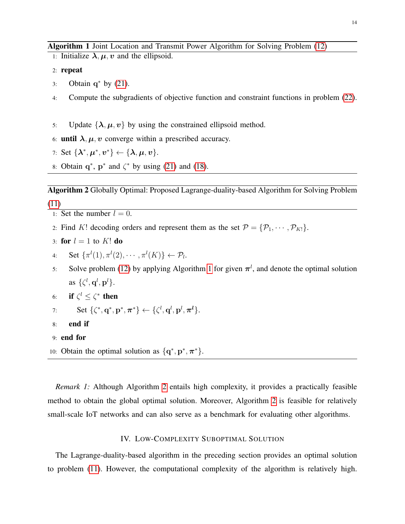```
1: Initialize \lambda, \mu, \nu and the ellipsoid.
```
2: repeat

- 3: Obtain  $q^*$  by [\(21\)](#page-11-6).
- 4: Compute the subgradients of objective function and constraint functions in problem [\(22\)](#page-12-1).
- 5: Update  $\{\lambda, \mu, v\}$  by using the constrained ellipsoid method.

# 6: until  $\lambda, \mu, \nu$  converge within a prescribed accuracy.

- 7: Set  $\{\lambda^*, \mu^*, v^*\} \leftarrow \{\lambda, \mu, v\}.$
- 8: Obtain  $q^*$ ,  $p^*$  and  $\zeta^*$  by using [\(21\)](#page-11-6) and [\(18\)](#page-11-5).

<span id="page-13-2"></span>Algorithm 2 Globally Optimal: Proposed Lagrange-duality-based Algorithm for Solving Problem [\(11\)](#page-9-3)

- 1: Set the number  $l = 0$ .
- 2: Find K! decoding orders and represent them as the set  $\mathcal{P} = {\mathcal{P}_1, \cdots, \mathcal{P}_{K!}}$ .
- 3: for  $l = 1$  to K! do
- 4: Set  $\{\pi^l(1), \pi^l(2), \cdots, \pi^l(K)\}\leftarrow \mathcal{P}_l$ .
- 5: Solve problem [\(12\)](#page-10-1) by applying Algorithm [1](#page-13-1) for given  $\pi^{l}$ , and denote the optimal solution as  $\{\zeta^l, \mathbf{q}^l, \mathbf{p}^l\}.$
- 6: if  $\zeta^l \leq \zeta^*$  then
- 7: Set  $\{\zeta^*, \mathbf{q}^*, \mathbf{p}^*, \boldsymbol{\pi}^*\} \leftarrow \{\zeta^l, \mathbf{q}^l, \mathbf{p}^l, \boldsymbol{\pi}^l\}.$
- 8: end if
- 9: end for
- 10: Obtain the optimal solution as  $\{q^*, p^*, \pi^*\}.$

*Remark 1:* Although Algorithm [2](#page-13-2) entails high complexity, it provides a practically feasible method to obtain the global optimal solution. Moreover, Algorithm [2](#page-13-2) is feasible for relatively small-scale IoT networks and can also serve as a benchmark for evaluating other algorithms.

# IV. LOW-COMPLEXITY SUBOPTIMAL SOLUTION

<span id="page-13-0"></span>The Lagrange-duality-based algorithm in the preceding section provides an optimal solution to problem [\(11\)](#page-9-3). However, the computational complexity of the algorithm is relatively high.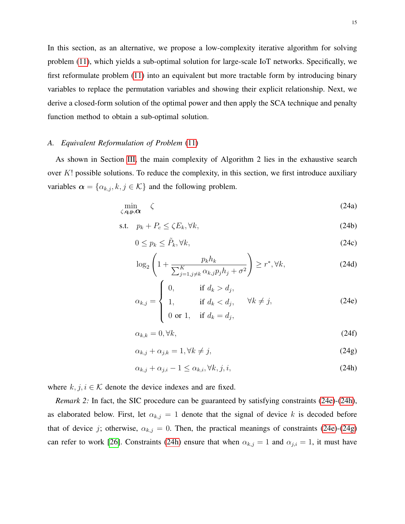In this section, as an alternative, we propose a low-complexity iterative algorithm for solving problem [\(11\)](#page-9-3), which yields a sub-optimal solution for large-scale IoT networks. Specifically, we first reformulate problem [\(11\)](#page-9-3) into an equivalent but more tractable form by introducing binary variables to replace the permutation variables and showing their explicit relationship. Next, we derive a closed-form solution of the optimal power and then apply the SCA technique and penalty function method to obtain a sub-optimal solution.

### *A. Equivalent Reformulation of Problem* [\(11\)](#page-9-3)

As shown in Section [III,](#page-9-0) the main complexity of Algorithm 2 lies in the exhaustive search over  $K!$  possible solutions. To reduce the complexity, in this section, we first introduce auxiliary variables  $\alpha = {\alpha_{k,j}, k, j \in \mathcal{K}}$  and the following problem.

<span id="page-14-3"></span>
$$
\min_{\zeta, \mathbf{q}, \mathbf{p}, \mathbf{\Omega}} \quad \zeta \tag{24a}
$$

$$
\text{s.t.} \quad p_k + P_c \le \zeta E_k, \forall k,\tag{24b}
$$

<span id="page-14-6"></span><span id="page-14-5"></span>
$$
0 \le p_k \le \tilde{P}_k, \forall k,
$$
\n<sup>(24c)</sup>

<span id="page-14-4"></span>
$$
\log_2\left(1+\frac{p_k h_k}{\sum_{j=1,j\neq k}^K \alpha_{k,j} p_j h_j + \sigma^2}\right) \ge r^*, \forall k,
$$
\n(24d)

<span id="page-14-0"></span>
$$
\alpha_{k,j} = \begin{cases} 0, & \text{if } d_k > d_j, \\ 1, & \text{if } d_k < d_j, \\ 0 \text{ or } 1, & \text{if } d_k = d_j, \end{cases} \quad \forall k \neq j,
$$
\n(24e)

<span id="page-14-7"></span>
$$
\alpha_{k,k} = 0, \forall k,\tag{24f}
$$

<span id="page-14-2"></span>
$$
\alpha_{k,j} + \alpha_{j,k} = 1, \forall k \neq j,
$$
\n
$$
(24g)
$$

<span id="page-14-1"></span>
$$
\alpha_{k,j} + \alpha_{j,i} - 1 \le \alpha_{k,i}, \forall k, j, i,
$$
\n(24h)

where  $k, j, i \in \mathcal{K}$  denote the device indexes and are fixed.

*Remark 2:* In fact, the SIC procedure can be guaranteed by satisfying constraints [\(24e\)](#page-14-0)-[\(24h\)](#page-14-1), as elaborated below. First, let  $\alpha_{k,j} = 1$  denote that the signal of device k is decoded before that of device j; otherwise,  $\alpha_{k,j} = 0$ . Then, the practical meanings of constraints [\(24e\)](#page-14-0)-[\(24g\)](#page-14-2) can refer to work [\[26\]](#page-31-5). Constraints [\(24h\)](#page-14-1) ensure that when  $\alpha_{k,j} = 1$  and  $\alpha_{j,i} = 1$ , it must have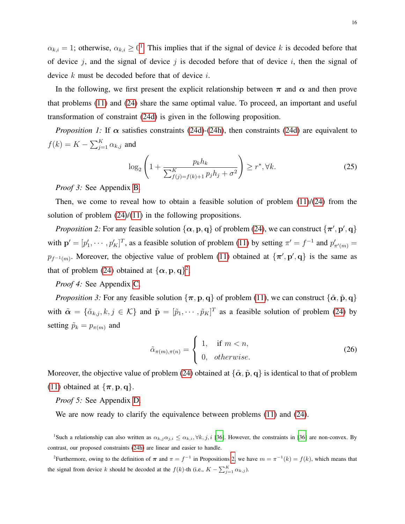$\alpha_{k,i} = 1$  $\alpha_{k,i} = 1$ ; otherwise,  $\alpha_{k,i} \geq 0^1$ . This implies that if the signal of device k is decoded before that of device j, and the signal of device j is decoded before that of device  $i$ , then the signal of device  $k$  must be decoded before that of device  $i$ .

In the following, we first present the explicit relationship between  $\pi$  and  $\alpha$  and then prove that problems [\(11\)](#page-9-3) and [\(24\)](#page-14-3) share the same optimal value. To proceed, an important and useful transformation of constraint [\(24d\)](#page-14-4) is given in the following proposition.

*Proposition 1:* If  $\alpha$  satisfies constraints [\(24d\)](#page-14-4)-[\(24h\)](#page-14-1), then constraints (24d) are equivalent to  $f(k) = K - \sum_{j=1}^{K} \alpha_{k,j}$  and

<span id="page-15-6"></span><span id="page-15-5"></span><span id="page-15-2"></span>
$$
\log_2\left(1 + \frac{p_k h_k}{\sum_{f(j)=f(k)+1}^K p_j h_j + \sigma^2}\right) \ge r^*, \forall k. \tag{25}
$$

*Proof 3:* See Appendix [B.](#page-25-0)

Then, we come to reveal how to obtain a feasible solution of problem  $(11)/(24)$  $(11)/(24)$  $(11)/(24)$  from the solution of problem  $(24)/(11)$  $(24)/(11)$  $(24)/(11)$  in the following propositions.

*Proposition 2:* For any feasible solution  $\{\alpha, \mathbf{p}, \mathbf{q}\}$  of problem [\(24\)](#page-14-3), we can construct  $\{\pi', \mathbf{p}', \mathbf{q}\}$ with  $\mathbf{p}' = [p'_1, \dots, p'_K]^T$ , as a feasible solution of problem [\(11\)](#page-9-3) by setting  $\pi' = f^{-1}$  and  $p'_{\pi'(m)} =$  $p_{f^{-1}(m)}$ . Moreover, the objective value of problem [\(11\)](#page-9-3) obtained at  $\{\pi', \mathbf{p}', \mathbf{q}\}\$ is the same as that of problem [\(24\)](#page-14-3) obtained at  $\{\alpha, \mathbf{p}, \mathbf{q}\}^2$  $\{\alpha, \mathbf{p}, \mathbf{q}\}^2$ .

# *Proof 4:* See Appendix [C.](#page-27-0)

<span id="page-15-3"></span>*Proposition 3:* For any feasible solution  $\{\pi, p, q\}$  of problem [\(11\)](#page-9-3), we can construct  $\{\tilde{\alpha}, \tilde{p}, q\}$ with  $\tilde{\alpha} = \{\tilde{\alpha}_{k,j}, k, j \in \mathcal{K}\}\$  and  $\tilde{\mathbf{p}} = [\tilde{p}_1, \cdots, \tilde{p}_K]^T$  as a feasible solution of problem [\(24\)](#page-14-3) by setting  $\tilde{p}_k = p_{\pi(m)}$  and

$$
\tilde{\alpha}_{\pi(m),\pi(n)} = \begin{cases} 1, & \text{if } m < n, \\ 0, & \text{otherwise.} \end{cases}
$$
\n(26)

Moreover, the objective value of problem [\(24\)](#page-14-3) obtained at  $\{\tilde{\alpha}, \tilde{p}, q\}$  is identical to that of problem [\(11\)](#page-9-3) obtained at  $\{\pi, \mathbf{p}, \mathbf{q}\}.$ 

*Proof 5:* See Appendix [D.](#page-28-0)

<span id="page-15-4"></span>We are now ready to clarify the equivalence between problems  $(11)$  and  $(24)$ .

<span id="page-15-0"></span><sup>1</sup>Such a relationship can also written as  $\alpha_{k,j}\alpha_{j,i} \leq \alpha_{k,i}, \forall k,j,i$  [\[36\]](#page-31-14). However, the constraints in [36] are non-convex. By contrast, our proposed constraints [\(24h\)](#page-14-1) are linear and easier to handle.

<span id="page-15-1"></span><sup>2</sup>Furthermore, owing to the definition of  $\pi$  and  $\pi = f^{-1}$  in Propositions [2,](#page-15-2) we have  $m = \pi^{-1}(k) = f(k)$ , which means that the signal from device k should be decoded at the  $f(k)$ -th (i.e.,  $K - \sum_{j=1}^{K} \alpha_{k,j}$ ).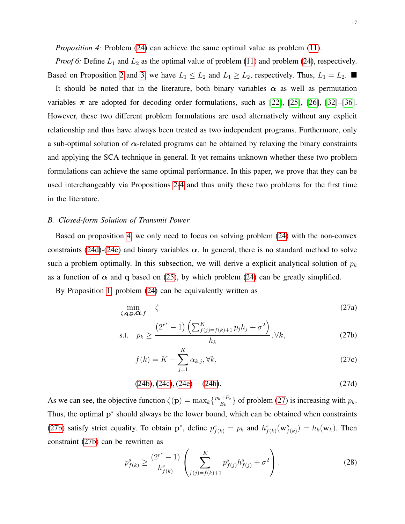*Proposition 4:* Problem [\(24\)](#page-14-3) can achieve the same optimal value as problem [\(11\)](#page-9-3).

*Proof 6:* Define  $L_1$  and  $L_2$  as the optimal value of problem [\(11\)](#page-9-3) and problem [\(24\)](#page-14-3), respectively. Based on Proposition [2](#page-15-2) and [3,](#page-15-3) we have  $L_1 \le L_2$  and  $L_1 \ge L_2$ , respectively. Thus,  $L_1 = L_2$ . It should be noted that in the literature, both binary variables  $\alpha$  as well as permutation variables  $\pi$  are adopted for decoding order formulations, such as [\[22\]](#page-31-1), [\[25\]](#page-31-4), [\[26\]](#page-31-5), [\[32\]](#page-31-11)–[\[36\]](#page-31-14). However, these two different problem formulations are used alternatively without any explicit relationship and thus have always been treated as two independent programs. Furthermore, only a sub-optimal solution of  $\alpha$ -related programs can be obtained by relaxing the binary constraints and applying the SCA technique in general. It yet remains unknown whether these two problem formulations can achieve the same optimal performance. In this paper, we prove that they can be used interchangeably via Propositions [2](#page-15-2)[-4](#page-15-4) and thus unify these two problems for the first time in the literature.

## *B. Closed-form Solution of Transmit Power*

Based on proposition [4,](#page-15-4) we only need to focus on solving problem [\(24\)](#page-14-3) with the non-convex constraints [\(24d\)](#page-14-4)-[\(24e\)](#page-14-0) and binary variables  $\alpha$ . In general, there is no standard method to solve such a problem optimally. In this subsection, we will derive a explicit analytical solution of  $p_k$ as a function of  $\alpha$  and q based on [\(25\)](#page-15-5), by which problem [\(24\)](#page-14-3) can be greatly simplified.

By Proposition [1,](#page-15-6) problem [\(24\)](#page-14-3) can be equivalently written as

$$
\min_{\zeta, \mathbf{q}, \mathbf{p}, \mathbf{\alpha}, f} \quad \zeta \tag{27a}
$$

s.t. 
$$
p_k \ge \frac{(2^{r^*} - 1) \left( \sum_{f(j) = f(k) + 1}^{K} p_j h_j + \sigma^2 \right)}{h_k}, \forall k,
$$
 (27b)

<span id="page-16-2"></span><span id="page-16-1"></span><span id="page-16-0"></span>
$$
f(k) = K - \sum_{j=1}^{K} \alpha_{k,j}, \forall k,
$$
\n(27c)

$$
(24b), (24c), (24e) - (24h). \tag{27d}
$$

As we can see, the objective function  $\zeta(\mathbf{p}) = \max_k \left\{ \frac{p_k + P_c}{E_k} \right\}$  $\left\{ \frac{E_k + P_c}{E_k} \right\}$  of problem [\(27\)](#page-16-0) is increasing with  $p_k$ . Thus, the optimal p<sup>\*</sup> should always be the lower bound, which can be obtained when constraints [\(27b\)](#page-16-1) satisfy strict equality. To obtain p<sup>\*</sup>, define  $p_{f(k)}^s = p_k$  and  $h_{f(k)}^s(\mathbf{w}_{f(k)}^s) = h_k(\mathbf{w}_k)$ . Then constraint [\(27b\)](#page-16-1) can be rewritten as

$$
p_{f(k)}^s \ge \frac{(2^{r^*} - 1)}{h_{f(k)}^s} \left( \sum_{f(j) = f(k) + 1}^K p_{f(j)}^s h_{f(j)}^s + \sigma^2 \right).
$$
 (28)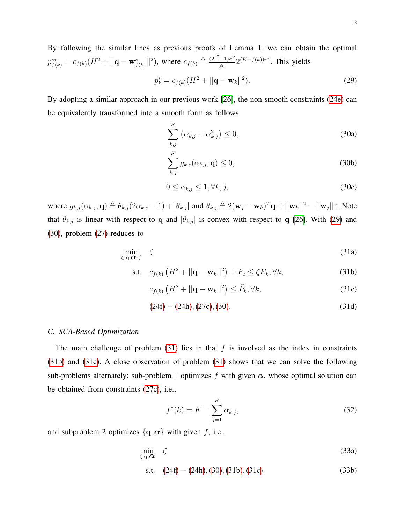By following the similar lines as previous proofs of Lemma 1, we can obtain the optimal  $p_{f(k)}^{s*} = c_{f(k)}(H^2 + ||\mathbf{q} - \mathbf{w}_{f(k)}^s||^2)$ , where  $c_{f(k)} \triangleq \frac{(2r^* - 1)\sigma^2}{\rho_0}$  $\frac{-1}{\rho_0} 2^{(K-f(k))r^*}$ . This yields  $p_k^* = c_{f(k)}(H^2 + ||\mathbf{q} - \mathbf{w}_k||^2)$ ). (29)

By adopting a similar approach in our previous work [\[26\]](#page-31-5), the non-smooth constraints [\(24e\)](#page-14-0) can be equivalently transformed into a smooth form as follows.

<span id="page-17-6"></span><span id="page-17-1"></span><span id="page-17-0"></span>
$$
\sum_{k,j}^{K} \left( \alpha_{k,j} - \alpha_{k,j}^2 \right) \le 0,
$$
\n(30a)

<span id="page-17-8"></span><span id="page-17-7"></span>
$$
\sum_{k,j}^{K} g_{k,j}(\alpha_{k,j}, \mathbf{q}) \le 0,
$$
\n(30b)

<span id="page-17-3"></span>
$$
0 \le \alpha_{k,j} \le 1, \forall k, j,
$$
\n(30c)

where  $g_{k,j}(\alpha_{k,j}, \mathbf{q}) \triangleq \theta_{k,j} (2\alpha_{k,j} - 1) + |\theta_{k,j}|$  and  $\theta_{k,j} \triangleq 2(\mathbf{w}_j - \mathbf{w}_k)^T \mathbf{q} + ||\mathbf{w}_k||^2 - ||\mathbf{w}_j||^2$ . Note that  $\theta_{k,j}$  is linear with respect to q and  $|\theta_{k,j}|$  is convex with respect to q [\[26\]](#page-31-5). With [\(29\)](#page-17-0) and [\(30\)](#page-17-1), problem [\(27\)](#page-16-0) reduces to

<span id="page-17-2"></span>
$$
\min_{\zeta, \mathbf{q}, \mathbf{\alpha}, f} \quad \zeta \tag{31a}
$$

$$
\text{s.t.} \quad c_{f(k)} \left( H^2 + ||\mathbf{q} - \mathbf{w}_k||^2 \right) + P_c \le \zeta E_k, \forall k,\tag{31b}
$$

<span id="page-17-4"></span>
$$
c_{f(k)}\left(H^2 + ||\mathbf{q} - \mathbf{w}_k||^2\right) \le \tilde{P}_k, \forall k,
$$
\n(31c)

$$
(24f) - (24h), (27c), (30). \tag{31d}
$$

#### *C. SCA-Based Optimization*

The main challenge of problem  $(31)$  lies in that f is involved as the index in constraints [\(31b\)](#page-17-3) and [\(31c\)](#page-17-4). A close observation of problem [\(31\)](#page-17-2) shows that we can solve the following sub-problems alternately: sub-problem 1 optimizes f with given  $\alpha$ , whose optimal solution can be obtained from constraints [\(27c\)](#page-16-2), i.e.,

<span id="page-17-9"></span><span id="page-17-5"></span>
$$
f^*(k) = K - \sum_{j=1}^K \alpha_{k,j},
$$
\n(32)

and subproblem 2 optimizes  $\{q, \alpha\}$  with given f, i.e.,

$$
\min_{\zeta, \mathbf{q}, \boldsymbol{\alpha}} \quad \zeta \tag{33a}
$$

s.t. 
$$
(24f) - (24h), (30), (31b), (31c).
$$
 (33b)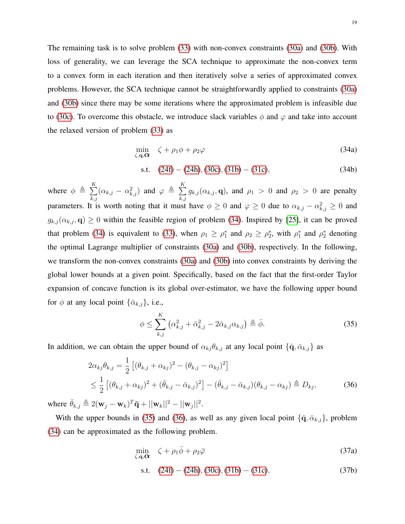The remaining task is to solve problem [\(33\)](#page-17-5) with non-convex constraints [\(30a\)](#page-17-6) and [\(30b\)](#page-17-7). With loss of generality, we can leverage the SCA technique to approximate the non-convex term to a convex form in each iteration and then iteratively solve a series of approximated convex problems. However, the SCA technique cannot be straightforwardly applied to constraints [\(30a\)](#page-17-6) and [\(30b\)](#page-17-7) since there may be some iterations where the approximated problem is infeasible due to [\(30c\)](#page-17-8). To overcome this obstacle, we introduce slack variables  $\phi$  and  $\varphi$  and take into account the relaxed version of problem [\(33\)](#page-17-5) as

<span id="page-18-0"></span>
$$
\min_{\zeta, \mathbf{q}, \mathbf{\alpha}} \quad \zeta + \rho_1 \phi + \rho_2 \varphi \tag{34a}
$$

s.t. 
$$
(24f) - (24h), (30c), (31b) - (31c),
$$
 (34b)

where  $\phi \triangleq \sum_{k=1}^{K}$  $_{k,j}$  $(\alpha_{k,j}-\alpha_{k,j}^2)$  and  $\varphi \triangleq \sum_{k=1}^K$  $_{k,j}$  $g_{k,j}(\alpha_{k,j}, \mathbf{q})$ , and  $\rho_1 > 0$  and  $\rho_2 > 0$  are penalty parameters. It is worth noting that it must have  $\phi \ge 0$  and  $\varphi \ge 0$  due to  $\alpha_{k,j} - \alpha_{k,j}^2 \ge 0$  and  $g_{k,j}(\alpha_{k,j}, \mathbf{q}) \ge 0$  within the feasible region of problem [\(34\)](#page-18-0). Inspired by [\[25\]](#page-31-4), it can be proved that problem [\(34\)](#page-18-0) is equivalent to [\(33\)](#page-17-5), when  $\rho_1 \ge \rho_1^*$  and  $\rho_2 \ge \rho_2^*$ , with  $\rho_1^*$  and  $\rho_2^*$  denoting the optimal Lagrange multiplier of constraints [\(30a\)](#page-17-6) and [\(30b\)](#page-17-7), respectively. In the following, we transform the non-convex constraints [\(30a\)](#page-17-6) and [\(30b\)](#page-17-7) into convex constraints by deriving the global lower bounds at a given point. Specifically, based on the fact that the first-order Taylor expansion of concave function is its global over-estimator, we have the following upper bound for  $\phi$  at any local point  $\{\bar{\alpha}_{k,j}\}\,$ , i.e.,

<span id="page-18-2"></span><span id="page-18-1"></span>
$$
\phi \leq \sum_{k,j}^{K} \left( \alpha_{k,j}^2 + \bar{\alpha}_{k,j}^2 - 2\bar{\alpha}_{k,j} \alpha_{k,j} \right) \triangleq \bar{\phi}.
$$
\n(35)

In addition, we can obtain the upper bound of  $\alpha_{kj}\theta_{k,j}$  at any local point  $\{\bar{\mathbf{q}}, \bar{\alpha}_{k,j}\}$  as

$$
2\alpha_{kj}\theta_{k,j} = \frac{1}{2} \left[ (\theta_{k,j} + \alpha_{kj})^2 - (\theta_{k,j} - \alpha_{kj})^2 \right]
$$
  

$$
\leq \frac{1}{2} \left[ (\theta_{k,j} + \alpha_{kj})^2 + (\bar{\theta}_{k,j} - \bar{\alpha}_{k,j})^2 \right] - (\bar{\theta}_{k,j} - \bar{\alpha}_{k,j})(\theta_{k,j} - \alpha_{kj}) \triangleq D_{kj},
$$
 (36)

where  $\bar{\theta}_{k,j} \triangleq 2(\mathbf{w}_j - \mathbf{w}_k)^T \bar{\mathbf{q}} + ||\mathbf{w}_k||^2 - ||\mathbf{w}_j||^2$ .

With the upper bounds in [\(35\)](#page-18-1) and [\(36\)](#page-18-2), as well as any given local point  $\{\bar{q}, \bar{\alpha}_{k,j}\}$ , problem [\(34\)](#page-18-0) can be approximated as the following problem.

<span id="page-18-3"></span>
$$
\min_{\zeta, \mathbf{q}, \mathbf{\alpha}} \quad \zeta + \rho_1 \bar{\phi} + \rho_2 \bar{\varphi} \tag{37a}
$$

s.t. 
$$
(24f) - (24h), (30c), (31b) - (31c),
$$
 (37b)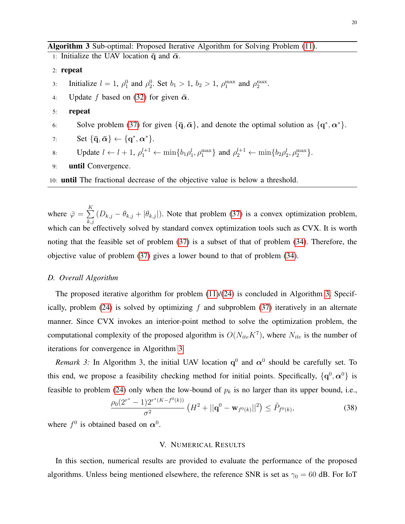<span id="page-19-1"></span>Algorithm 3 Sub-optimal: Proposed Iterative Algorithm for Solving Problem [\(11\)](#page-9-3).

1: Initialize the UAV location  $\bar{q}$  and  $\bar{\alpha}$ .

#### 2: repeat

- 3: Initialize  $l = 1$ ,  $\rho_1^0$  and  $\rho_2^0$ . Set  $b_1 > 1$ ,  $b_2 > 1$ ,  $\rho_1^{\max}$  and  $\rho_2^{\max}$ .
- 4: Update f based on [\(32\)](#page-17-9) for given  $\bar{\alpha}$ .
- 5: repeat
- 6: Solve problem [\(37\)](#page-18-3) for given  $\{\bar{q}, \bar{\alpha}\}\$ , and denote the optimal solution as  $\{q^*, \alpha^*\}$ .

7: Set 
$$
\{\bar{\mathbf{q}}, \bar{\boldsymbol{\alpha}}\} \leftarrow \{\mathbf{q}^*, \boldsymbol{\alpha}^*\}.
$$

8: Update 
$$
l \leftarrow l + 1
$$
,  $\rho_1^{l+1} \leftarrow \min\{b_1\rho_1^l, \rho_1^{\max}\}\$  and  $\rho_2^{l+1} \leftarrow \min\{b_2\rho_2^l, \rho_2^{\max}\}\$ .

9: until Convergence.

10: until The fractional decrease of the objective value is below a threshold.

where  $\bar{\varphi} = \sum_{k=1}^{K}$  $_{k,j}$  $(D_{k,j} - \theta_{k,j} + |\theta_{k,j}|)$ . Note that problem [\(37\)](#page-18-3) is a convex optimization problem, which can be effectively solved by standard convex optimization tools such as CVX. It is worth noting that the feasible set of problem [\(37\)](#page-18-3) is a subset of that of problem [\(34\)](#page-18-0). Therefore, the objective value of problem [\(37\)](#page-18-3) gives a lower bound to that of problem [\(34\)](#page-18-0).

#### *D. Overall Algorithm*

The proposed iterative algorithm for problem  $(11)/(24)$  $(11)/(24)$  $(11)/(24)$  is concluded in Algorithm [3.](#page-19-1) Specifically, problem  $(24)$  is solved by optimizing f and subproblem  $(37)$  iteratively in an alternate manner. Since CVX invokes an interior-point method to solve the optimization problem, the computational complexity of the proposed algorithm is  $O(N_{ite}K^7)$ , where  $N_{ite}$  is the number of iterations for convergence in Algorithm [3.](#page-19-1)

*Remark 3:* In Algorithm 3, the initial UAV location  $q^0$  and  $\alpha^0$  should be carefully set. To this end, we propose a feasibility checking method for initial points. Specifically,  $\{q^0, \alpha^0\}$  is feasible to problem [\(24\)](#page-14-3) only when the low-bound of  $p_k$  is no larger than its upper bound, i.e.,

$$
\frac{\rho_0(2^{r^*}-1)2^{r^*(K-f^0(k))}}{\sigma^2} \left(H^2+||\mathbf{q}^0-\mathbf{w}_{f^0(k)}||^2\right) \le \tilde{P}_{f^0(k)},\tag{38}
$$

<span id="page-19-0"></span>where  $f^0$  is obtained based on  $\alpha^0$ .

# V. NUMERICAL RESULTS

In this section, numerical results are provided to evaluate the performance of the proposed algorithms. Unless being mentioned elsewhere, the reference SNR is set as  $\gamma_0 = 60$  dB. For IoT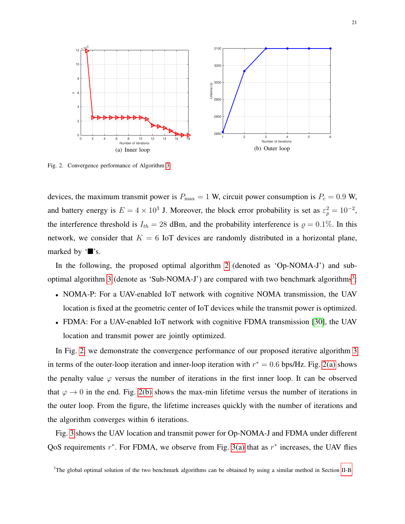<span id="page-20-3"></span><span id="page-20-2"></span>

<span id="page-20-1"></span>Fig. 2. Convergence performance of Algorithm [3.](#page-19-1)

devices, the maximum transmit power is  $P_{\text{max}} = 1$  W, circuit power consumption is  $P_c = 0.9$  W, and battery energy is  $E = 4 \times 10^3$  J. Moreover, the block error probability is set as  $\varepsilon_p^2 = 10^{-2}$ , the interference threshold is  $I_{th} = 28$  dBm, and the probability interference is  $\rho = 0.1\%$ . In this network, we consider that  $K = 6$  IoT devices are randomly distributed in a horizontal plane, marked by  $\mathbf{Y} \mathbf{S}$ .

In the following, the proposed optimal algorithm [2](#page-13-2) (denoted as 'Op-NOMA-J') and sub-optimal algorithm [3](#page-19-1) (denote as 'Sub-NOMA-J') are compared with two benchmark algorithms<sup>[3](#page-20-0)</sup>:

- NOMA-P: For a UAV-enabled IoT network with cognitive NOMA transmission, the UAV location is fixed at the geometric center of IoT devices while the transmit power is optimized.
- FDMA: For a UAV-enabled IoT network with cognitive FDMA transmission [\[30\]](#page-31-9), the UAV location and transmit power are jointly optimized.

In Fig. [2,](#page-20-1) we demonstrate the convergence performance of our proposed iterative algorithm [3](#page-19-1) in terms of the outer-loop iteration and inner-loop iteration with  $r^* = 0.6$  bps/Hz. Fig. [2\(a\)](#page-20-2) shows the penalty value  $\varphi$  versus the number of iterations in the first inner loop. It can be observed that  $\varphi \to 0$  in the end. Fig. [2\(b\)](#page-20-3) shows the max-min lifetime versus the number of iterations in the outer loop. From the figure, the lifetime increases quickly with the number of iterations and the algorithm converges within 6 iterations.

Fig. [3](#page-21-0) shows the UAV location and transmit power for Op-NOMA-J and FDMA under different QoS requirements  $r^*$ . For FDMA, we observe from Fig. [3\(a\)](#page-21-1) that as  $r^*$  increases, the UAV flies

<span id="page-20-0"></span><sup>3</sup>The global optimal solution of the two benchmark algorithms can be obtained by using a similar method in Section [II-B.](#page-8-4)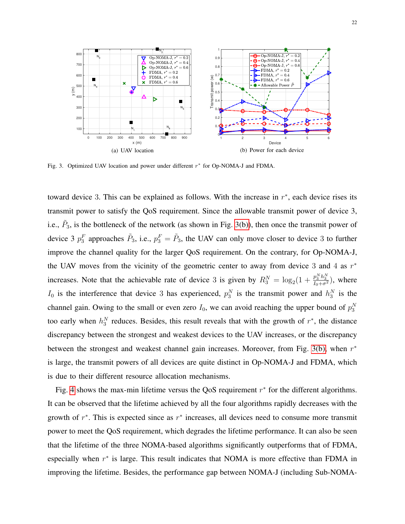<span id="page-21-2"></span><span id="page-21-1"></span>

<span id="page-21-0"></span>Fig. 3. Optimized UAV location and power under different  $r^*$  for Op-NOMA-J and FDMA.

toward device 3. This can be explained as follows. With the increase in  $r^*$ , each device rises its transmit power to satisfy the QoS requirement. Since the allowable transmit power of device 3, i.e.,  $\tilde{P}_3$ , is the bottleneck of the network (as shown in Fig. [3\(b\)\)](#page-21-2), then once the transmit power of device 3  $p_3^F$  approaches  $\tilde{P}_3$ , i.e.,  $p_3^F = \tilde{P}_3$ , the UAV can only move closer to device 3 to further improve the channel quality for the larger QoS requirement. On the contrary, for Op-NOMA-J, the UAV moves from the vicinity of the geometric center to away from device 3 and 4 as  $r^*$ increases. Note that the achievable rate of device 3 is given by  $R_3^N = \log_2(1 + \frac{p_3^N h_3^N}{I_0 + \sigma^2})$ , where  $I_0$  is the interference that device 3 has experienced,  $p_3^N$  is the transmit power and  $h_3^N$  is the channel gain. Owing to the small or even zero  $I_0$ , we can avoid reaching the upper bound of  $p_3^N$ too early when  $h_3^N$  reduces. Besides, this result reveals that with the growth of  $r^*$ , the distance discrepancy between the strongest and weakest devices to the UAV increases, or the discrepancy between the strongest and weakest channel gain increases. Moreover, from Fig. [3\(b\),](#page-21-2) when  $r^*$ is large, the transmit powers of all devices are quite distinct in Op-NOMA-J and FDMA, which is due to their different resource allocation mechanisms.

Fig. [4](#page-22-0) shows the max-min lifetime versus the QoS requirement  $r^*$  for the different algorithms. It can be observed that the lifetime achieved by all the four algorithms rapidly decreases with the growth of  $r^*$ . This is expected since as  $r^*$  increases, all devices need to consume more transmit power to meet the QoS requirement, which degrades the lifetime performance. It can also be seen that the lifetime of the three NOMA-based algorithms significantly outperforms that of FDMA, especially when  $r^*$  is large. This result indicates that NOMA is more effective than FDMA in improving the lifetime. Besides, the performance gap between NOMA-J (including Sub-NOMA-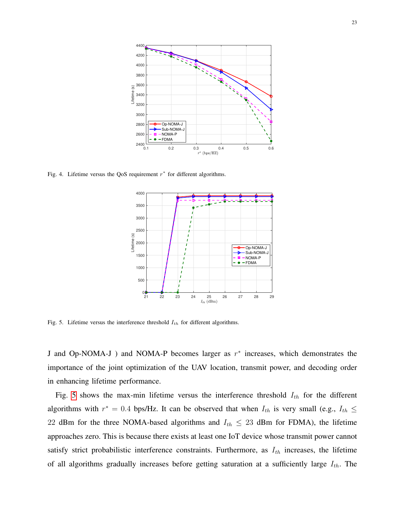

<span id="page-22-0"></span>Fig. 4. Lifetime versus the QoS requirement  $r^*$  for different algorithms.



<span id="page-22-1"></span>Fig. 5. Lifetime versus the interference threshold  $I_{th}$  for different algorithms.

J and Op-NOMA-J ) and NOMA-P becomes larger as  $r^*$  increases, which demonstrates the importance of the joint optimization of the UAV location, transmit power, and decoding order in enhancing lifetime performance.

Fig. [5](#page-22-1) shows the max-min lifetime versus the interference threshold  $I_{th}$  for the different algorithms with  $r^* = 0.4$  bps/Hz. It can be observed that when  $I_{th}$  is very small (e.g.,  $I_{th} \leq$ 22 dBm for the three NOMA-based algorithms and  $I_{th} \leq 23$  dBm for FDMA), the lifetime approaches zero. This is because there exists at least one IoT device whose transmit power cannot satisfy strict probabilistic interference constraints. Furthermore, as  $I_{th}$  increases, the lifetime of all algorithms gradually increases before getting saturation at a sufficiently large  $I_{th}$ . The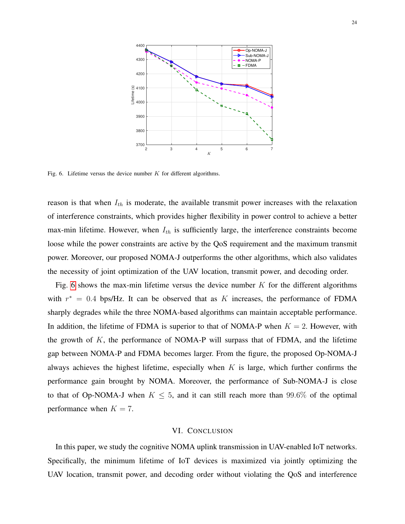

<span id="page-23-1"></span>Fig. 6. Lifetime versus the device number  $K$  for different algorithms.

reason is that when  $I_{th}$  is moderate, the available transmit power increases with the relaxation of interference constraints, which provides higher flexibility in power control to achieve a better max-min lifetime. However, when  $I_{th}$  is sufficiently large, the interference constraints become loose while the power constraints are active by the QoS requirement and the maximum transmit power. Moreover, our proposed NOMA-J outperforms the other algorithms, which also validates the necessity of joint optimization of the UAV location, transmit power, and decoding order.

Fig. [6](#page-23-1) shows the max-min lifetime versus the device number  $K$  for the different algorithms with  $r^* = 0.4$  bps/Hz. It can be observed that as K increases, the performance of FDMA sharply degrades while the three NOMA-based algorithms can maintain acceptable performance. In addition, the lifetime of FDMA is superior to that of NOMA-P when  $K = 2$ . However, with the growth of  $K$ , the performance of NOMA-P will surpass that of FDMA, and the lifetime gap between NOMA-P and FDMA becomes larger. From the figure, the proposed Op-NOMA-J always achieves the highest lifetime, especially when  $K$  is large, which further confirms the performance gain brought by NOMA. Moreover, the performance of Sub-NOMA-J is close to that of Op-NOMA-J when  $K \leq 5$ , and it can still reach more than 99.6% of the optimal performance when  $K = 7$ .

#### VI. CONCLUSION

<span id="page-23-0"></span>In this paper, we study the cognitive NOMA uplink transmission in UAV-enabled IoT networks. Specifically, the minimum lifetime of IoT devices is maximized via jointly optimizing the UAV location, transmit power, and decoding order without violating the QoS and interference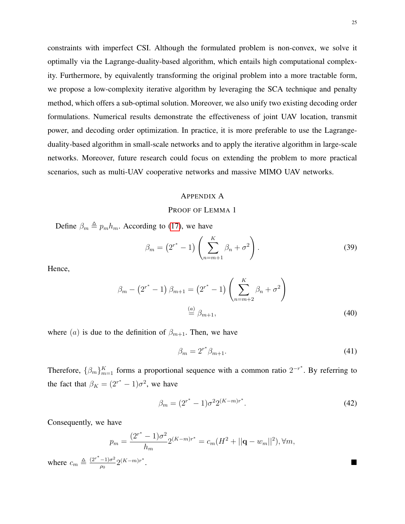constraints with imperfect CSI. Although the formulated problem is non-convex, we solve it optimally via the Lagrange-duality-based algorithm, which entails high computational complexity. Furthermore, by equivalently transforming the original problem into a more tractable form, we propose a low-complexity iterative algorithm by leveraging the SCA technique and penalty method, which offers a sub-optimal solution. Moreover, we also unify two existing decoding order formulations. Numerical results demonstrate the effectiveness of joint UAV location, transmit power, and decoding order optimization. In practice, it is more preferable to use the Lagrangeduality-based algorithm in small-scale networks and to apply the iterative algorithm in large-scale networks. Moreover, future research could focus on extending the problem to more practical scenarios, such as multi-UAV cooperative networks and massive MIMO UAV networks.

# <span id="page-24-0"></span>APPENDIX A

#### PROOF OF LEMMA 1

Define  $\beta_m \triangleq p_m h_m$ . According to [\(17\)](#page-10-7), we have

$$
\beta_m = (2^{r^*} - 1) \left( \sum_{n=m+1}^{K} \beta_n + \sigma^2 \right).
$$
 (39)

Hence,

$$
\beta_m - (2^{r^*} - 1) \beta_{m+1} = (2^{r^*} - 1) \left( \sum_{n=m+2}^K \beta_n + \sigma^2 \right)
$$
  

$$
\stackrel{(a)}{=} \beta_{m+1},
$$
 (40)

where (a) is due to the definition of  $\beta_{m+1}$ . Then, we have

$$
\beta_m = 2^{r^*} \beta_{m+1}.\tag{41}
$$

Therefore,  $\{\beta_m\}_{m=1}^K$  forms a proportional sequence with a common ratio  $2^{-r^*}$ . By referring to the fact that  $\beta_K = (2^{r^*} - 1)\sigma^2$ , we have

$$
\beta_m = (2^{r^*} - 1)\sigma^2 2^{(K-m)r^*}.
$$
\n(42)

Consequently, we have

$$
p_m = \frac{(2^{r^*} - 1)\sigma^2}{h_m} 2^{(K-m)r^*} = c_m (H^2 + ||\mathbf{q} - w_m||^2), \forall m,
$$
  
where  $c_m \triangleq \frac{(2^{r^*} - 1)\sigma^2}{\rho_0} 2^{(K-m)r^*}.$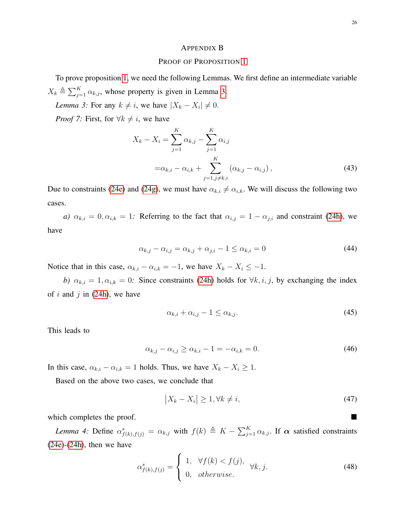#### <span id="page-25-1"></span><span id="page-25-0"></span>APPENDIX B

## PROOF OF PROPOSITION [1](#page-15-6)

To prove proposition [1,](#page-15-6) we need the following Lemmas. We first define an intermediate variable  $X_k \triangleq \sum_{j=1}^K \alpha_{k,j}$ , whose property is given in Lemma [3.](#page-25-1)

*Lemma 3:* For any  $k \neq i$ , we have  $|X_k - X_i| \neq 0$ .

*Proof 7:* First, for  $\forall k \neq i$ , we have

$$
X_k - X_i = \sum_{j=1}^K \alpha_{k,j} - \sum_{j=1}^K \alpha_{i,j}
$$
  
=  $\alpha_{k,i} - \alpha_{i,k} + \sum_{j=1, j \neq k,i}^K (\alpha_{k,j} - \alpha_{i,j}),$  (43)

Due to constraints [\(24e\)](#page-14-0) and [\(24g\)](#page-14-2), we must have  $\alpha_{k,i} \neq \alpha_{i,k}$ . We will discuss the following two cases.

*a)*  $\alpha_{k,i} = 0, \alpha_{i,k} = 1$ : Referring to the fact that  $\alpha_{i,j} = 1 - \alpha_{j,i}$  and constraint [\(24h\)](#page-14-1), we have

$$
\alpha_{k,j} - \alpha_{i,j} = \alpha_{k,j} + \alpha_{j,i} - 1 \le \alpha_{k,i} = 0 \tag{44}
$$

Notice that in this case,  $\alpha_{k,i} - \alpha_{i,k} = -1$ , we have  $X_k - X_i \leq -1$ .

*b)*  $\alpha_{k,i} = 1, \alpha_{i,k} = 0$ : Since constraints [\(24h\)](#page-14-1) holds for  $\forall k, i, j$ , by exchanging the index of i and j in  $(24h)$ , we have

$$
\alpha_{k,i} + \alpha_{i,j} - 1 \le \alpha_{k,j}.\tag{45}
$$

This leads to

$$
\alpha_{k,j} - \alpha_{i,j} \ge \alpha_{k,i} - 1 = -\alpha_{i,k} = 0. \tag{46}
$$

In this case,  $\alpha_{k,i} - \alpha_{i,k} = 1$  holds. Thus, we have  $X_k - X_i \geq 1$ .

Based on the above two cases, we conclude that

$$
|X_k - X_i| \ge 1, \forall k \ne i,
$$
\n<sup>(47)</sup>

which completes the proof.

<span id="page-25-2"></span>*Lemma 4:* Define  $\alpha_{f(k),f(j)}^s = \alpha_{k,j}$  with  $f(k) \triangleq K - \sum_{j=1}^K \alpha_{k,j}$ . If  $\alpha$  satisfied constraints  $(24e)-(24h)$  $(24e)-(24h)$  $(24e)-(24h)$ , then we have

$$
\alpha_{f(k),f(j)}^s = \begin{cases} 1, & \forall f(k) < f(j), \\ 0, & otherwise. \end{cases} \forall k, j.
$$
 (48)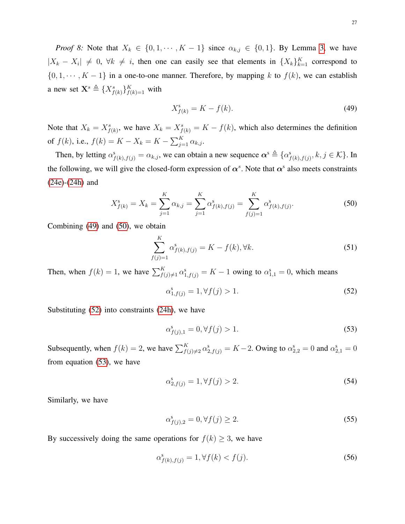*Proof 8:* Note that  $X_k \in \{0, 1, \dots, K - 1\}$  since  $\alpha_{k,j} \in \{0, 1\}$ . By Lemma [3,](#page-25-1) we have  $|X_k - X_i| \neq 0, \forall k \neq i$ , then one can easily see that elements in  $\{X_k\}_{k=1}^K$  correspond to  $\{0, 1, \dots, K - 1\}$  in a one-to-one manner. Therefore, by mapping k to  $f(k)$ , we can establish a new set  $\mathbf{X}^s \triangleq \{X^s_{f(k)}\}_{f(k)=1}^K$  with

<span id="page-26-1"></span><span id="page-26-0"></span>
$$
X_{f(k)}^s = K - f(k). \tag{49}
$$

Note that  $X_k = X_{f(k)}^s$ , we have  $X_k = X_{f(k)}^s = K - f(k)$ , which also determines the definition of  $f(k)$ , i.e.,  $f(k) = K - X_k = K - \sum_{j=1}^{K} \alpha_{k,j}$ .

Then, by letting  $\alpha_{f(k),f(j)}^s = \alpha_{k,j}$ , we can obtain a new sequence  $\alpha^s \triangleq {\alpha_{f(k),f(j)}^s, k, j \in \mathcal{K}}$ . In the following, we will give the closed-form expression of  $\alpha^s$ . Note that  $\alpha^s$  also meets constraints [\(24e\)](#page-14-0)-[\(24h\)](#page-14-1) and

$$
X_{f(k)}^s = X_k = \sum_{j=1}^K \alpha_{k,j} = \sum_{j=1}^K \alpha_{f(k),f(j)}^s = \sum_{f(j)=1}^K \alpha_{f(k),f(j)}^s.
$$
 (50)

Combining [\(49\)](#page-26-0) and [\(50\)](#page-26-1), we obtain

$$
\sum_{f(j)=1}^{K} \alpha_{f(k),f(j)}^{s} = K - f(k), \forall k.
$$
\n(51)

Then, when  $f(k) = 1$ , we have  $\sum_{f(j) \neq 1}^{K} \alpha_{1,f(j)}^s = K - 1$  owing to  $\alpha_{1,1}^s = 0$ , which means

<span id="page-26-2"></span>
$$
\alpha_{1,f(j)}^s = 1, \forall f(j) > 1.
$$
\n(52)

Substituting [\(52\)](#page-26-2) into constraints [\(24h\)](#page-14-1), we have

<span id="page-26-3"></span>
$$
\alpha_{f(j),1}^s = 0, \forall f(j) > 1.
$$
\n(53)

Subsequently, when  $f(k) = 2$ , we have  $\sum_{f(j)\neq 2}^{K} \alpha_{2,f(j)}^s = K - 2$ . Owing to  $\alpha_{2,2}^s = 0$  and  $\alpha_{2,1}^s = 0$ from equation [\(53\)](#page-26-3), we have

$$
\alpha_{2,f(j)}^s = 1, \forall f(j) > 2. \tag{54}
$$

Similarly, we have

<span id="page-26-4"></span>
$$
\alpha_{f(j),2}^s = 0, \forall f(j) \ge 2. \tag{55}
$$

By successively doing the same operations for  $f(k) \geq 3$ , we have

$$
\alpha_{f(k), f(j)}^s = 1, \forall f(k) < f(j). \tag{56}
$$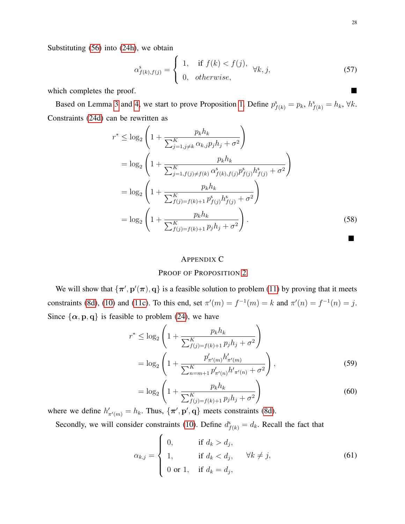$$
\alpha_{f(k),f(j)}^s = \begin{cases} 1, & \text{if } f(k) < f(j), \\ 0, & \text{otherwise,} \end{cases} \quad \forall k, j,
$$
\n
$$
\tag{57}
$$

which completes the proof.

Based on Lemma [3](#page-25-1) and [4,](#page-25-2) we start to prove Proposition [1.](#page-15-6) Define  $p_{f(k)}^s = p_k$ ,  $h_{f(k)}^s = h_k$ ,  $\forall k$ . Constraints [\(24d\)](#page-14-4) can be rewritten as

$$
r^* \le \log_2 \left( 1 + \frac{p_k h_k}{\sum_{j=1, j \neq k}^K \alpha_{k,j} p_j h_j + \sigma^2} \right)
$$
  
=  $\log_2 \left( 1 + \frac{p_k h_k}{\sum_{j=1, f(j) \neq f(k)}^K \alpha_{f(k), f(j)}^s p_{f(j)}^s h_{f(j)}^s + \sigma^2} \right)$   
=  $\log_2 \left( 1 + \frac{p_k h_k}{\sum_{f(j)=f(k)+1}^K p_{f(j)}^s h_{f(j)}^s + \sigma^2} \right)$   
=  $\log_2 \left( 1 + \frac{p_k h_k}{\sum_{f(j)=f(k)+1}^K p_j h_j + \sigma^2} \right).$  (58)

# <span id="page-27-0"></span>APPENDIX C

## PROOF OF PROPOSITION [2](#page-15-2)

We will show that  $\{\pi', p'(\pi), q\}$  is a feasible solution to problem [\(11\)](#page-9-3) by proving that it meets constraints [\(8d\)](#page-8-2), [\(10\)](#page-9-1) and [\(11c\)](#page-9-4). To this end, set  $\pi'(m) = f^{-1}(m) = k$  and  $\pi'(n) = f^{-1}(n) = j$ . Since  $\{\alpha, p, q\}$  is feasible to problem [\(24\)](#page-14-3), we have

$$
r^* \le \log_2 \left( 1 + \frac{p_k h_k}{\sum_{f(j)=f(k)+1}^K p_j h_j + \sigma^2} \right)
$$
  
= 
$$
\log_2 \left( 1 + \frac{p'_{\pi'(m)} h'_{\pi'(m)}}{\sum_{n=m+1}^K p'_{\pi'(n)} h'_{\pi'(n)} + \sigma^2} \right),
$$
 (59)

$$
= \log_2 \left( 1 + \frac{p_k h_k}{\sum_{f(j)=f(k)+1}^{K} p_j h_j + \sigma^2} \right)
$$
(60)

where we define  $h'_{\pi'(m)} = h_k$ . Thus,  $\{\pi', \mathbf{p}', \mathbf{q}\}\$  meets constraints [\(8d\)](#page-8-2).

Secondly, we will consider constraints [\(10\)](#page-9-1). Define  $d_{f(k)}^s = d_k$ . Recall the fact that

$$
\alpha_{k,j} = \begin{cases}\n0, & \text{if } d_k > d_j, \\
1, & \text{if } d_k < d_j, \\
0 \text{ or } 1, & \text{if } d_k = d_j,\n\end{cases} \quad \forall k \neq j,
$$
\n(61)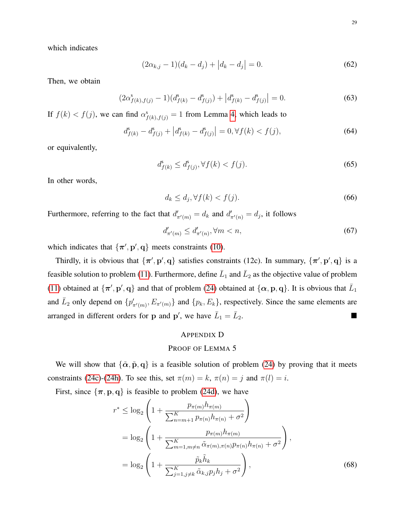which indicates

$$
(2\alpha_{k,j} - 1)(d_k - d_j) + |d_k - d_j| = 0.
$$
\n(62)

Then, we obtain

$$
(2\alpha_{f(k),f(j)}^s - 1)(d_{f(k)}^s - d_{f(j)}^s) + |d_{f(k)}^s - d_{f(j)}^s| = 0.
$$
\n(63)

If  $f(k) < f(j)$ , we can find  $\alpha_{f(k),f(j)}^s = 1$  from Lemma [4,](#page-25-2) which leads to

$$
d_{f(k)}^s - d_{f(j)}^s + |d_{f(k)}^s - d_{f(j)}^s| = 0, \forall f(k) < f(j),\tag{64}
$$

or equivalently,

$$
d_{f(k)}^s \le d_{f(j)}^s, \forall f(k) < f(j). \tag{65}
$$

In other words,

$$
d_k \le d_j, \forall f(k) < f(j). \tag{66}
$$

Furthermore, referring to the fact that  $d'_{\pi'(m)} = d_k$  and  $d'_{\pi'(n)} = d_j$ , it follows

$$
d'_{\pi'(m)} \le d'_{\pi'(n)}, \forall m < n,\tag{67}
$$

which indicates that  $\{\pi', p', q\}$  meets constraints [\(10\)](#page-9-1).

Thirdly, it is obvious that  $\{\pi', p', q\}$  satisfies constraints (12c). In summary,  $\{\pi', p', q\}$  is a feasible solution to problem [\(11\)](#page-9-3). Furthermore, define  $\bar{L}_1$  and  $\bar{L}_2$  as the objective value of problem [\(11\)](#page-9-3) obtained at  $\{\pi', \mathbf{p}', \mathbf{q}\}\$  and that of problem [\(24\)](#page-14-3) obtained at  $\{\alpha, \mathbf{p}, \mathbf{q}\}\$ . It is obvious that  $\overline{L}_1$ and  $\bar{L}_2$  only depend on  $\{p'_{\pi'(m)}, E_{\pi'(m)}\}$  and  $\{p_k, E_k\}$ , respectively. Since the same elements are arranged in different orders for p and p', we have  $\bar{L}_1 = \bar{L}$ <sup>2</sup>.

# <span id="page-28-0"></span>APPENDIX D

# PROOF OF LEMMA 5

We will show that  $\{\tilde{\alpha}, \tilde{p}, q\}$  is a feasible solution of problem [\(24\)](#page-14-3) by proving that it meets constraints [\(24c\)](#page-14-6)-[\(24h\)](#page-14-1). To see this, set  $\pi(m) = k$ ,  $\pi(n) = j$  and  $\pi(l) = i$ .

First, since  $\{\pi, p, q\}$  is feasible to problem [\(24d\)](#page-14-4), we have

$$
r^* \leq \log_2 \left( 1 + \frac{p_{\pi(m)} h_{\pi(m)}}{\sum_{n=m+1}^K p_{\pi(n)} h_{\pi(n)} + \sigma^2} \right)
$$
  
=  $\log_2 \left( 1 + \frac{p_{\pi(m)} h_{\pi(m)}}{\sum_{m=1, m \neq n}^K \tilde{\alpha}_{\pi(m), \pi(n)} p_{\pi(n)} h_{\pi(n)} + \sigma^2} \right),$   
=  $\log_2 \left( 1 + \frac{\tilde{p}_k \tilde{h}_k}{\sum_{j=1, j \neq k}^K \tilde{\alpha}_{k, j} p_j h_j + \sigma^2} \right),$  (68)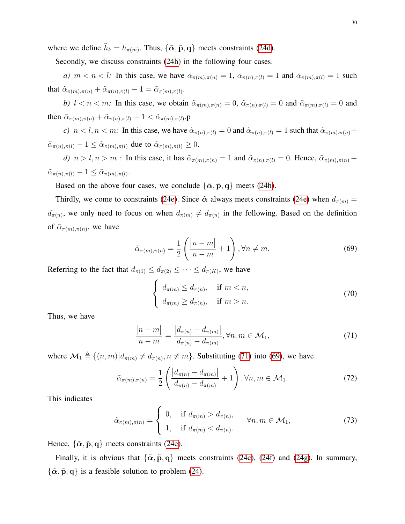where we define  $\tilde{h}_k = h_{\pi(m)}$ . Thus,  $\{\tilde{\alpha}, \tilde{\mathbf{p}}, \mathbf{q}\}\$  meets constraints [\(24d\)](#page-14-4).

Secondly, we discuss constraints [\(24h\)](#page-14-1) in the following four cases.

*a)*  $m < n < l$ : In this case, we have  $\tilde{\alpha}_{\pi(m),\pi(n)} = 1$ ,  $\tilde{\alpha}_{\pi(n),\pi(l)} = 1$  and  $\tilde{\alpha}_{\pi(m),\pi(l)} = 1$  such that  $\tilde{\alpha}_{\pi(m),\pi(n)} + \tilde{\alpha}_{\pi(n),\pi(l)} - 1 = \tilde{\alpha}_{\pi(m),\pi(l)}$ .

*b)*  $l < n < m$ : In this case, we obtain  $\tilde{\alpha}_{\pi(m),\pi(n)} = 0$ ,  $\tilde{\alpha}_{\pi(n),\pi(l)} = 0$  and  $\tilde{\alpha}_{\pi(m),\pi(l)} = 0$  and then  $\tilde{\alpha}_{\pi(m),\pi(n)} + \tilde{\alpha}_{\pi(n),\pi(l)} - 1 < \tilde{\alpha}_{\pi(m),\pi(l)}$ .p

*c)*  $n < l, n < m$ : In this case, we have  $\tilde{\alpha}_{\pi(n),\pi(l)} = 0$  and  $\tilde{\alpha}_{\pi(n),\pi(l)} = 1$  such that  $\tilde{\alpha}_{\pi(m),\pi(n)} +$  $\tilde{\alpha}_{\pi(n),\pi(l)} - 1 \leq \tilde{\alpha}_{\pi(m),\pi(l)}$  due to  $\tilde{\alpha}_{\pi(m),\pi(l)} \geq 0$ .

*d)*  $n > l, n > m$ : In this case, it has  $\tilde{\alpha}_{\pi(m), \pi(n)} = 1$  and  $\tilde{\alpha}_{\pi(n), \pi(l)} = 0$ . Hence,  $\tilde{\alpha}_{\pi(m), \pi(n)} +$  $\tilde{\alpha}_{\pi(n),\pi(l)} - 1 \leq \tilde{\alpha}_{\pi(m),\pi(l)}.$ 

Based on the above four cases, we conclude  $\{\tilde{\alpha}, \tilde{p}, q\}$  meets [\(24h\)](#page-14-1).

Thirdly, we come to constraints [\(24e\)](#page-14-0). Since  $\tilde{\alpha}$  always meets constraints (24e) when  $d_{\pi(m)} =$  $d_{\pi(n)}$ , we only need to focus on when  $d_{\pi(m)} \neq d_{\pi(n)}$  in the following. Based on the definition of  $\tilde{\alpha}_{\pi(m),\pi(n)}$ , we have

$$
\tilde{\alpha}_{\pi(m),\pi(n)} = \frac{1}{2} \left( \frac{|n-m|}{n-m} + 1 \right), \forall n \neq m.
$$
\n(69)

Referring to the fact that  $d_{\pi(1)} \leq d_{\pi(2)} \leq \cdots \leq d_{\pi(K)}$ , we have

<span id="page-29-1"></span><span id="page-29-0"></span>
$$
\begin{cases} d_{\pi(m)} \leq d_{\pi(n)}, & \text{if } m < n, \\ d_{\pi(m)} \geq d_{\pi(n)}, & \text{if } m > n. \end{cases} \tag{70}
$$

Thus, we have

$$
\frac{|n-m|}{n-m} = \frac{|d_{\pi(n)} - d_{\pi(m)}|}{d_{\pi(n)} - d_{\pi(m)}}, \forall n, m \in \mathcal{M}_1,
$$
\n(71)

where  $\mathcal{M}_1 \triangleq \{(n,m)|d_{\pi(m)} \neq d_{\pi(n)}, n \neq m\}$ . Substituting [\(71\)](#page-29-0) into [\(69\)](#page-29-1), we have

$$
\tilde{\alpha}_{\pi(m),\pi(n)} = \frac{1}{2} \left( \frac{|d_{\pi(n)} - d_{\pi(m)}|}{d_{\pi(n)} - d_{\pi(m)}} + 1 \right), \forall n, m \in \mathcal{M}_1.
$$
\n(72)

This indicates

$$
\tilde{\alpha}_{\pi(m),\pi(n)} = \begin{cases}\n0, & \text{if } d_{\pi(m)} > d_{\pi(n)}, \\
1, & \text{if } d_{\pi(m)} < d_{\pi(n)}.\n\end{cases} \forall n, m \in \mathcal{M}_1,\n\tag{73}
$$

Hence,  $\{\tilde{\alpha}, \tilde{p}, q\}$  meets constraints [\(24e\)](#page-14-0).

Finally, it is obvious that  $\{\tilde{\alpha}, \tilde{p}, q\}$  meets constraints [\(24c\)](#page-14-6), [\(24f\)](#page-14-7) and [\(24g\)](#page-14-2). In summary,  $\{\tilde{\alpha}, \tilde{p}, q\}$  is a feasible solution to problem [\(24\)](#page-14-3).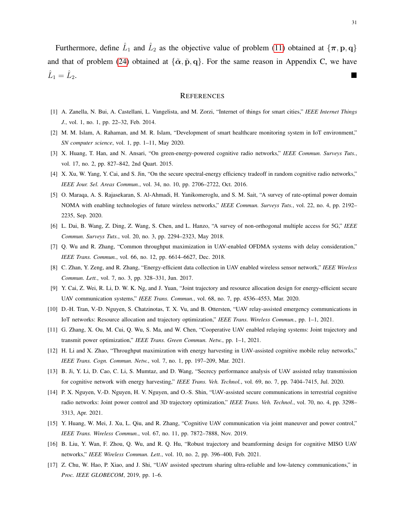Furthermore, define  $\hat{L}_1$  and  $\hat{L}_2$  as the objective value of problem [\(11\)](#page-9-3) obtained at  $\{\boldsymbol{\pi}, \mathbf{p}, \mathbf{q}\}$ and that of problem [\(24\)](#page-14-3) obtained at  $\{\tilde{\alpha}, \tilde{p}, q\}$ . For the same reason in Appendix C, we have  $\hat{L}_1 = \hat{L}$ <sup>2</sup>.

#### **REFERENCES**

- <span id="page-30-0"></span>[1] A. Zanella, N. Bui, A. Castellani, L. Vangelista, and M. Zorzi, "Internet of things for smart cities," *IEEE Internet Things J.*, vol. 1, no. 1, pp. 22–32, Feb. 2014.
- <span id="page-30-1"></span>[2] M. M. Islam, A. Rahaman, and M. R. Islam, "Development of smart healthcare monitoring system in IoT environment," *SN computer science*, vol. 1, pp. 1–11, May 2020.
- <span id="page-30-2"></span>[3] X. Huang, T. Han, and N. Ansari, "On green-energy-powered cognitive radio networks," *IEEE Commun. Surveys Tuts.*, vol. 17, no. 2, pp. 827–842, 2nd Quart. 2015.
- <span id="page-30-3"></span>[4] X. Xu, W. Yang, Y. Cai, and S. Jin, "On the secure spectral-energy efficiency tradeoff in random cognitive radio networks," *IEEE Jour. Sel. Areas Commun.*, vol. 34, no. 10, pp. 2706–2722, Oct. 2016.
- <span id="page-30-4"></span>[5] O. Maraqa, A. S. Rajasekaran, S. Al-Ahmadi, H. Yanikomeroglu, and S. M. Sait, "A survey of rate-optimal power domain NOMA with enabling technologies of future wireless networks," *IEEE Commun. Surveys Tuts.*, vol. 22, no. 4, pp. 2192– 2235, Sep. 2020.
- <span id="page-30-5"></span>[6] L. Dai, B. Wang, Z. Ding, Z. Wang, S. Chen, and L. Hanzo, "A survey of non-orthogonal multiple access for 5G," *IEEE Commun. Surveys Tuts.*, vol. 20, no. 3, pp. 2294–2323, May 2018.
- <span id="page-30-6"></span>[7] Q. Wu and R. Zhang, "Common throughput maximization in UAV-enabled OFDMA systems with delay consideration," *IEEE Trans. Commun.*, vol. 66, no. 12, pp. 6614–6627, Dec. 2018.
- <span id="page-30-10"></span>[8] C. Zhan, Y. Zeng, and R. Zhang, "Energy-efficient data collection in UAV enabled wireless sensor network," *IEEE Wireless Commun. Lett.*, vol. 7, no. 3, pp. 328–331, Jun. 2017.
- <span id="page-30-7"></span>[9] Y. Cai, Z. Wei, R. Li, D. W. K. Ng, and J. Yuan, "Joint trajectory and resource allocation design for energy-efficient secure UAV communication systems," *IEEE Trans. Commun.*, vol. 68, no. 7, pp. 4536–4553, Mar. 2020.
- <span id="page-30-8"></span>[10] D.-H. Tran, V.-D. Nguyen, S. Chatzinotas, T. X. Vu, and B. Ottersten, "UAV relay-assisted emergency communications in IoT networks: Resource allocation and trajectory optimization," *IEEE Trans. Wireless Commun.*, pp. 1–1, 2021.
- <span id="page-30-9"></span>[11] G. Zhang, X. Ou, M. Cui, Q. Wu, S. Ma, and W. Chen, "Cooperative UAV enabled relaying systems: Joint trajectory and transmit power optimization," *IEEE Trans. Green Commun. Netw.*, pp. 1–1, 2021.
- <span id="page-30-11"></span>[12] H. Li and X. Zhao, "Throughput maximization with energy harvesting in UAV-assisted cognitive mobile relay networks," *IEEE Trans. Cogn. Commun. Netw.*, vol. 7, no. 1, pp. 197–209, Mar. 2021.
- [13] B. Ji, Y. Li, D. Cao, C. Li, S. Mumtaz, and D. Wang, "Secrecy performance analysis of UAV assisted relay transmission for cognitive network with energy harvesting," *IEEE Trans. Veh. Technol.*, vol. 69, no. 7, pp. 7404–7415, Jul. 2020.
- <span id="page-30-12"></span>[14] P. X. Nguyen, V.-D. Nguyen, H. V. Nguyen, and O.-S. Shin, "UAV-assisted secure communications in terrestrial cognitive radio networks: Joint power control and 3D trajectory optimization," *IEEE Trans. Veh. Technol.*, vol. 70, no. 4, pp. 3298– 3313, Apr. 2021.
- <span id="page-30-13"></span>[15] Y. Huang, W. Mei, J. Xu, L. Qiu, and R. Zhang, "Cognitive UAV communication via joint maneuver and power control," *IEEE Trans. Wireless Commun.*, vol. 67, no. 11, pp. 7872–7888, Nov. 2019.
- [16] B. Liu, Y. Wan, F. Zhou, Q. Wu, and R. Q. Hu, "Robust trajectory and beamforming design for cognitive MISO UAV networks," *IEEE Wireless Commun. Lett.*, vol. 10, no. 2, pp. 396–400, Feb. 2021.
- <span id="page-30-14"></span>[17] Z. Chu, W. Hao, P. Xiao, and J. Shi, "UAV assisted spectrum sharing ultra-reliable and low-latency communications," in *Proc. IEEE GLOBECOM*, 2019, pp. 1–6.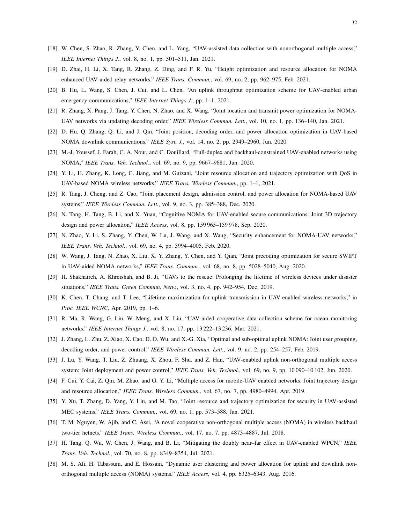- <span id="page-31-0"></span>[18] W. Chen, S. Zhao, R. Zhang, Y. Chen, and L. Yang, "UAV-assisted data collection with nonorthogonal multiple access," *IEEE Internet Things J.*, vol. 8, no. 1, pp. 501–511, Jan. 2021.
- [19] D. Zhai, H. Li, X. Tang, R. Zhang, Z. Ding, and F. R. Yu, "Height optimization and resource allocation for NOMA enhanced UAV-aided relay networks," *IEEE Trans. Commun.*, vol. 69, no. 2, pp. 962–975, Feb. 2021.
- [20] B. Hu, L. Wang, S. Chen, J. Cui, and L. Chen, "An uplink throughput optimization scheme for UAV-enabled urban emergency communications," *IEEE Internet Things J.*, pp. 1–1, 2021.
- [21] R. Zhang, X. Pang, J. Tang, Y. Chen, N. Zhao, and X. Wang, "Joint location and transmit power optimization for NOMA-UAV networks via updating decoding order," *IEEE Wireless Commun. Lett.*, vol. 10, no. 1, pp. 136–140, Jan. 2021.
- <span id="page-31-1"></span>[22] D. Hu, Q. Zhang, Q. Li, and J. Qin, "Joint position, decoding order, and power allocation optimization in UAV-based NOMA downlink communications," *IEEE Syst. J.*, vol. 14, no. 2, pp. 2949–2960, Jun. 2020.
- <span id="page-31-2"></span>[23] M.-J. Youssef, J. Farah, C. A. Nour, and C. Douillard, "Full-duplex and backhaul-constrained UAV-enabled networks using NOMA," *IEEE Trans. Veh. Technol.*, vol. 69, no. 9, pp. 9667–9681, Jun. 2020.
- <span id="page-31-3"></span>[24] Y. Li, H. Zhang, K. Long, C. Jiang, and M. Guizani, "Joint resource allocation and trajectory optimization with QoS in UAV-based NOMA wireless networks," *IEEE Trans. Wireless Commun.*, pp. 1–1, 2021.
- <span id="page-31-4"></span>[25] R. Tang, J. Cheng, and Z. Cao, "Joint placement design, admission control, and power allocation for NOMA-based UAV systems," *IEEE Wireless Commun. Lett.*, vol. 9, no. 3, pp. 385–388, Dec. 2020.
- <span id="page-31-5"></span>[26] N. Tang, H. Tang, B. Li, and X. Yuan, "Cognitive NOMA for UAV-enabled secure communications: Joint 3D trajectory design and power allocation," *IEEE Access*, vol. 8, pp. 159 965–159 978, Sep. 2020.
- <span id="page-31-7"></span>[27] N. Zhao, Y. Li, S. Zhang, Y. Chen, W. Lu, J. Wang, and X. Wang, "Security enhancement for NOMA-UAV networks," *IEEE Trans. Veh. Technol.*, vol. 69, no. 4, pp. 3994–4005, Feb. 2020.
- <span id="page-31-6"></span>[28] W. Wang, J. Tang, N. Zhao, X. Liu, X. Y. Zhang, Y. Chen, and Y. Qian, "Joint precoding optimization for secure SWIPT in UAV-aided NOMA networks," *IEEE Trans. Commun.*, vol. 68, no. 8, pp. 5028–5040, Aug. 2020.
- <span id="page-31-8"></span>[29] H. Shakhatreh, A. Khreishah, and B. Ji, "UAVs to the rescue: Prolonging the lifetime of wireless devices under disaster situations," *IEEE Trans. Green Commun. Netw.*, vol. 3, no. 4, pp. 942–954, Dec. 2019.
- <span id="page-31-9"></span>[30] K. Chen, T. Chang, and T. Lee, "Lifetime maximization for uplink transmission in UAV-enabled wireless networks," in *Proc. IEEE WCNC*, Apr. 2019, pp. 1–6.
- <span id="page-31-10"></span>[31] R. Ma, R. Wang, G. Liu, W. Meng, and X. Liu, "UAV-aided cooperative data collection scheme for ocean monitoring networks," *IEEE Internet Things J.*, vol. 8, no. 17, pp. 13 222–13 236, Mar. 2021.
- <span id="page-31-11"></span>[32] J. Zhang, L. Zhu, Z. Xiao, X. Cao, D. O. Wu, and X.-G. Xia, "Optimal and sub-optimal uplink NOMA: Joint user grouping, decoding order, and power control," *IEEE Wireless Commun. Lett.*, vol. 9, no. 2, pp. 254–257, Feb. 2019.
- <span id="page-31-12"></span>[33] J. Lu, Y. Wang, T. Liu, Z. Zhuang, X. Zhou, F. Shu, and Z. Han, "UAV-enabled uplink non-orthogonal multiple access system: Joint deployment and power control," *IEEE Trans. Veh. Technol.*, vol. 69, no. 9, pp. 10 090–10 102, Jun. 2020.
- <span id="page-31-13"></span>[34] F. Cui, Y. Cai, Z. Qin, M. Zhao, and G. Y. Li, "Multiple access for mobile-UAV enabled networks: Joint trajectory design and resource allocation," *IEEE Trans. Wireless Commun.*, vol. 67, no. 7, pp. 4980–4994, Apr. 2019.
- [35] Y. Xu, T. Zhang, D. Yang, Y. Liu, and M. Tao, "Joint resource and trajectory optimization for security in UAV-assisted MEC systems," *IEEE Trans. Commun.*, vol. 69, no. 1, pp. 573–588, Jan. 2021.
- <span id="page-31-14"></span>[36] T. M. Nguyen, W. Ajib, and C. Assi, "A novel cooperative non-orthogonal multiple access (NOMA) in wireless backhaul two-tier hetnets," *IEEE Trans. Wireless Commun.*, vol. 17, no. 7, pp. 4873–4887, Jul. 2018.
- <span id="page-31-15"></span>[37] H. Tang, Q. Wu, W. Chen, J. Wang, and B. Li, "Mitigating the doubly near–far effect in UAV-enabled WPCN," *IEEE Trans. Veh. Technol.*, vol. 70, no. 8, pp. 8349–8354, Jul. 2021.
- <span id="page-31-16"></span>[38] M. S. Ali, H. Tabassum, and E. Hossain, "Dynamic user clustering and power allocation for uplink and downlink nonorthogonal multiple access (NOMA) systems," *IEEE Access*, vol. 4, pp. 6325–6343, Aug. 2016.